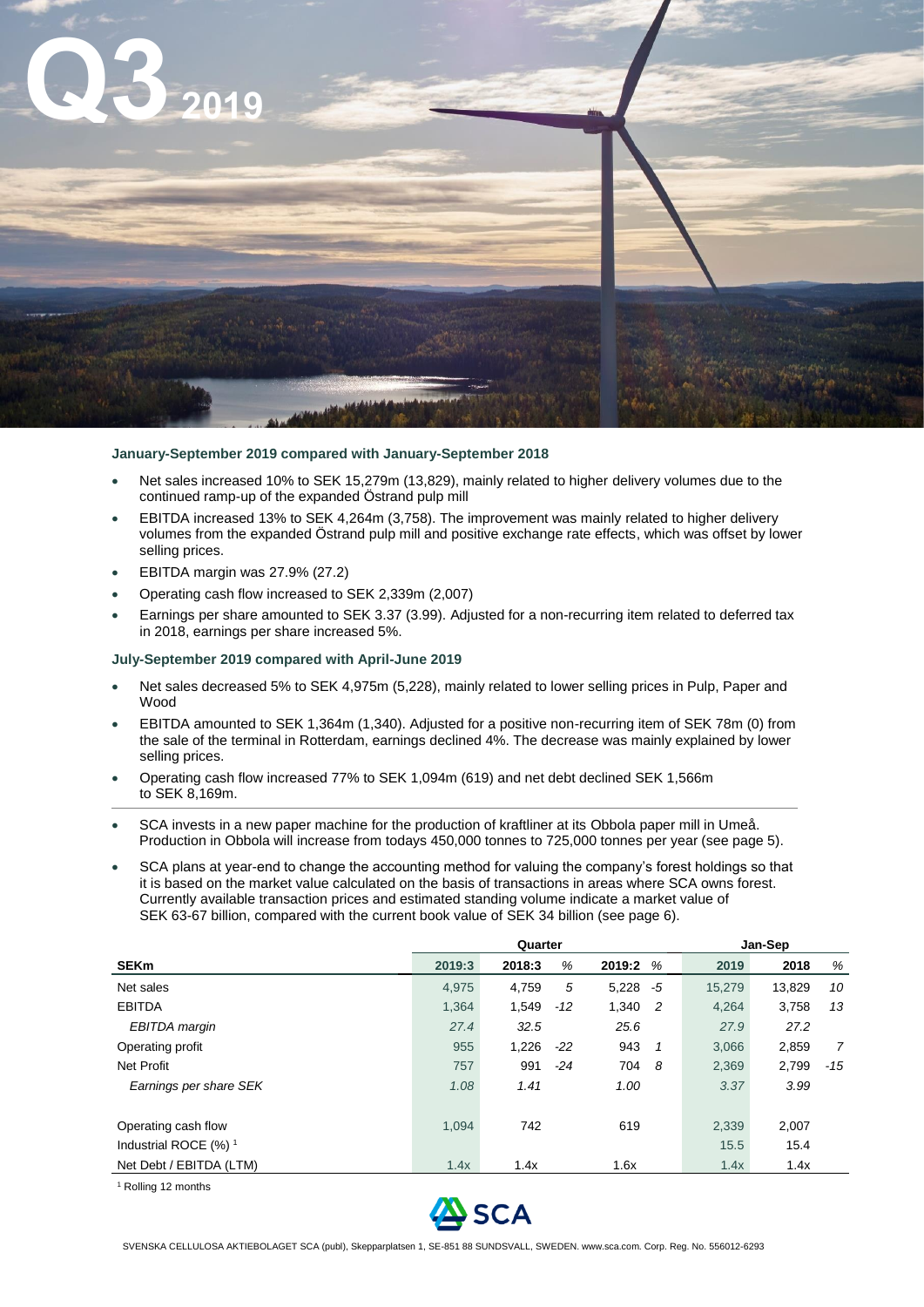

## **January-September 2019 compared with January-September 2018**

- Net sales increased 10% to SEK 15,279m (13,829), mainly related to higher delivery volumes due to the continued ramp-up of the expanded Östrand pulp mill
- EBITDA increased 13% to SEK 4,264m (3,758). The improvement was mainly related to higher delivery volumes from the expanded Östrand pulp mill and positive exchange rate effects, which was offset by lower selling prices.
- EBITDA margin was 27.9% (27.2)
- Operating cash flow increased to SEK 2,339m (2,007)
- Earnings per share amounted to SEK 3.37 (3.99). Adjusted for a non-recurring item related to deferred tax in 2018, earnings per share increased 5%.

### **July-September 2019 compared with April-June 2019**

- Net sales decreased 5% to SEK 4,975m (5,228), mainly related to lower selling prices in Pulp, Paper and Wood
- EBITDA amounted to SEK 1,364m (1,340). Adjusted for a positive non-recurring item of SEK 78m (0) from the sale of the terminal in Rotterdam, earnings declined 4%. The decrease was mainly explained by lower selling prices.
- Operating cash flow increased 77% to SEK 1,094m (619) and net debt declined SEK 1,566m to SEK 8,169m.
- SCA invests in a new paper machine for the production of kraftliner at its Obbola paper mill in Umeå. Production in Obbola will increase from todays 450,000 tonnes to 725,000 tonnes per year (see page 5).
- SCA plans at year-end to change the accounting method for valuing the company's forest holdings so that it is based on the market value calculated on the basis of transactions in areas where SCA owns forest. Currently available transaction prices and estimated standing volume indicate a market value of SEK 63-67 billion, compared with the current book value of SEK 34 billion (see page 6).

|                                  | Quarter |        |       |             |                | Jan-Sep |        |       |  |
|----------------------------------|---------|--------|-------|-------------|----------------|---------|--------|-------|--|
| <b>SEKm</b>                      | 2019:3  | 2018:3 | %     | 2019:2      | %              | 2019    | 2018   | %     |  |
| Net sales                        | 4.975   | 4.759  | 5     | $5,228 - 5$ |                | 15,279  | 13.829 | 10    |  |
| <b>EBITDA</b>                    | 1,364   | 1,549  | $-12$ | 1,340       | $\overline{2}$ | 4,264   | 3,758  | 13    |  |
| EBITDA margin                    | 27.4    | 32.5   |       | 25.6        |                | 27.9    | 27.2   |       |  |
| Operating profit                 | 955     | 1,226  | $-22$ | 943         | $\mathbf{1}$   | 3.066   | 2,859  | 7     |  |
| Net Profit                       | 757     | 991    | $-24$ | 704         | - 8            | 2,369   | 2,799  | $-15$ |  |
| Earnings per share SEK           | 1.08    | 1.41   |       | 1.00        |                | 3.37    | 3.99   |       |  |
|                                  |         |        |       |             |                |         |        |       |  |
| Operating cash flow              | 1.094   | 742    |       | 619         |                | 2,339   | 2,007  |       |  |
| Industrial ROCE (%) <sup>1</sup> |         |        |       |             |                | 15.5    | 15.4   |       |  |
| Net Debt / EBITDA (LTM)          | 1.4x    | 1.4x   |       | 1.6x        |                | 1.4x    | 1.4x   |       |  |

<sup>1</sup> Rolling 12 months

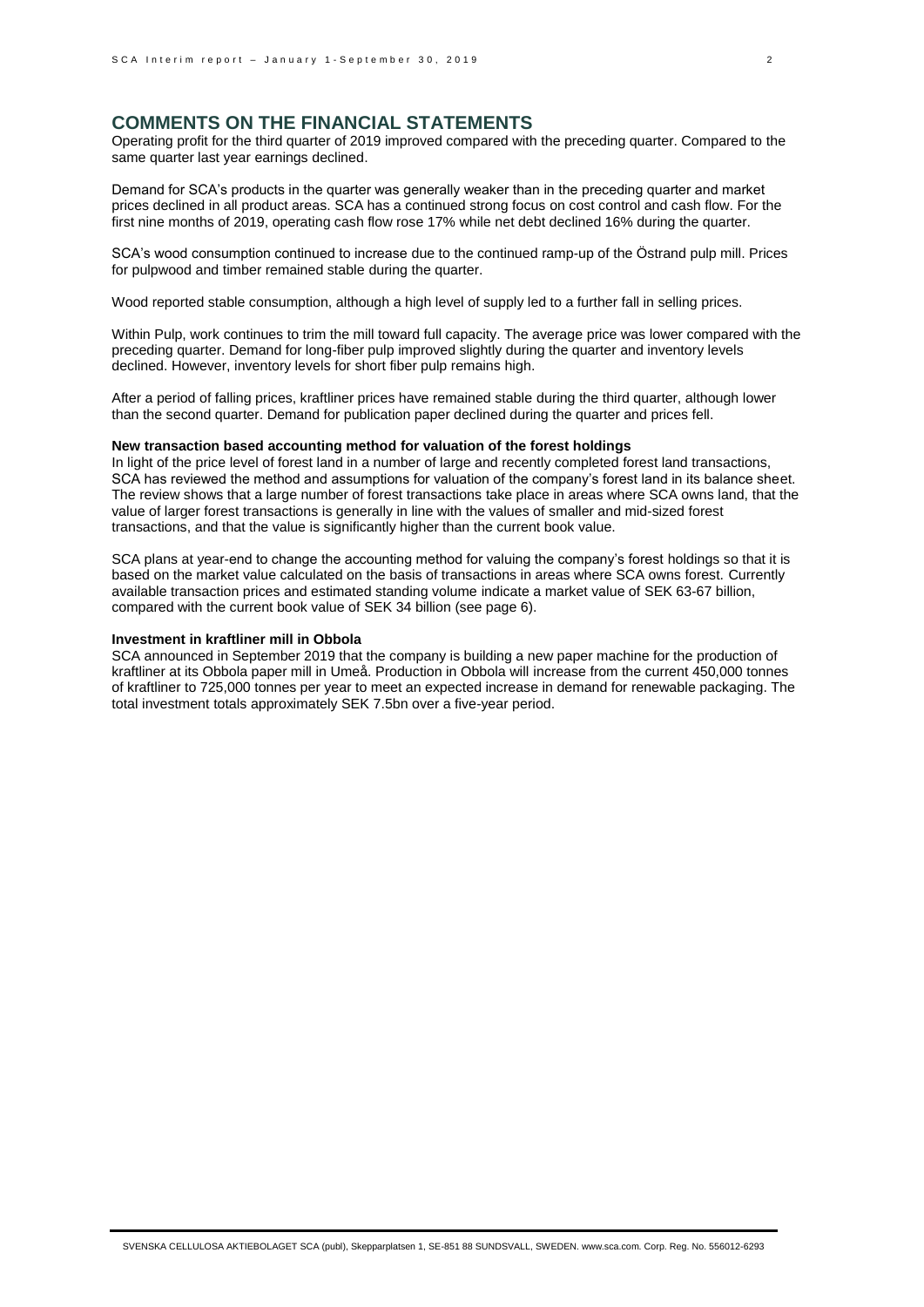# **COMMENTS ON THE FINANCIAL STATEMENTS**

Operating profit for the third quarter of 2019 improved compared with the preceding quarter. Compared to the same quarter last year earnings declined.

Demand for SCA's products in the quarter was generally weaker than in the preceding quarter and market prices declined in all product areas. SCA has a continued strong focus on cost control and cash flow. For the first nine months of 2019, operating cash flow rose 17% while net debt declined 16% during the quarter.

SCA's wood consumption continued to increase due to the continued ramp-up of the Östrand pulp mill. Prices for pulpwood and timber remained stable during the quarter.

Wood reported stable consumption, although a high level of supply led to a further fall in selling prices.

Within Pulp, work continues to trim the mill toward full capacity. The average price was lower compared with the preceding quarter. Demand for long-fiber pulp improved slightly during the quarter and inventory levels declined. However, inventory levels for short fiber pulp remains high.

After a period of falling prices, kraftliner prices have remained stable during the third quarter, although lower than the second quarter. Demand for publication paper declined during the quarter and prices fell.

### **New transaction based accounting method for valuation of the forest holdings**

In light of the price level of forest land in a number of large and recently completed forest land transactions, SCA has reviewed the method and assumptions for valuation of the company's forest land in its balance sheet. The review shows that a large number of forest transactions take place in areas where SCA owns land, that the value of larger forest transactions is generally in line with the values of smaller and mid-sized forest transactions, and that the value is significantly higher than the current book value.

SCA plans at year-end to change the accounting method for valuing the company's forest holdings so that it is based on the market value calculated on the basis of transactions in areas where SCA owns forest. Currently available transaction prices and estimated standing volume indicate a market value of SEK 63-67 billion, compared with the current book value of SEK 34 billion (see page 6).

## **Investment in kraftliner mill in Obbola**

SCA announced in September 2019 that the company is building a new paper machine for the production of kraftliner at its Obbola paper mill in Umeå. Production in Obbola will increase from the current 450,000 tonnes of kraftliner to 725,000 tonnes per year to meet an expected increase in demand for renewable packaging. The total investment totals approximately SEK 7.5bn over a five-year period.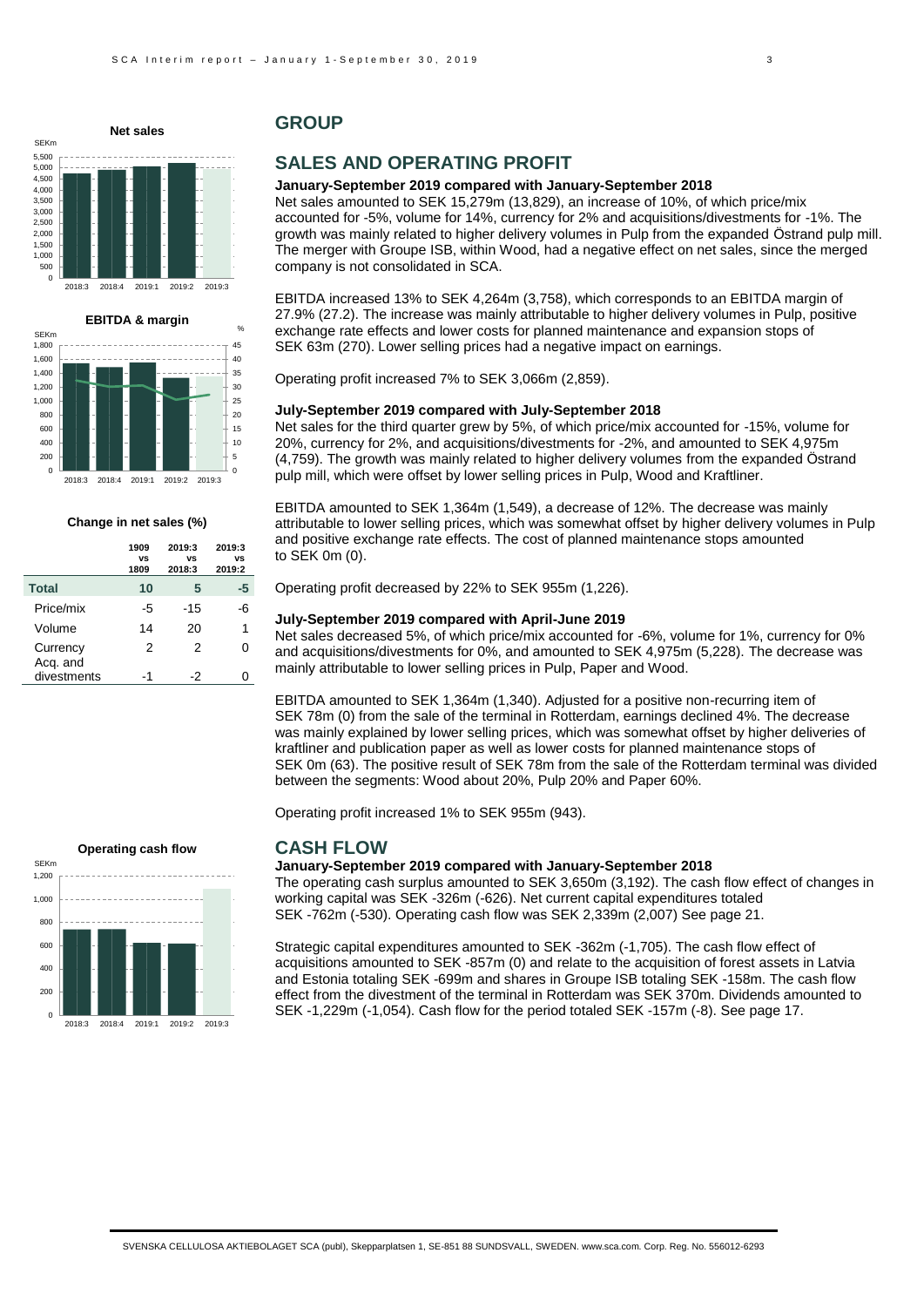# **Net sales**





#### **Change in net sales (%)**

|                      | 1909<br>VS<br>1809 | 2019:3<br>VS<br>2018:3 | 2019:3<br>VS<br>2019:2 |
|----------------------|--------------------|------------------------|------------------------|
| <b>Total</b>         | 10                 | 5                      | -5                     |
| Price/mix            | -5                 | $-15$                  | -6                     |
| Volume               | 14                 | 20                     | 1                      |
| Currency<br>Acq. and | 2                  | 2                      | O                      |
| divestments          | -1                 | -2                     |                        |

# **GROUP**

# **SALES AND OPERATING PROFIT**

#### **January-September 2019 compared with January-September 2018**

Net sales amounted to SEK 15,279m (13,829), an increase of 10%, of which price/mix accounted for -5%, volume for 14%, currency for 2% and acquisitions/divestments for -1%. The growth was mainly related to higher delivery volumes in Pulp from the expanded Östrand pulp mill. The merger with Groupe ISB, within Wood, had a negative effect on net sales, since the merged company is not consolidated in SCA.

EBITDA increased 13% to SEK 4,264m (3,758), which corresponds to an EBITDA margin of 27.9% (27.2). The increase was mainly attributable to higher delivery volumes in Pulp, positive exchange rate effects and lower costs for planned maintenance and expansion stops of SEK 63m (270). Lower selling prices had a negative impact on earnings.

Operating profit increased 7% to SEK 3,066m (2,859).

#### **July-September 2019 compared with July-September 2018**

Net sales for the third quarter grew by 5%, of which price/mix accounted for -15%, volume for 20%, currency for 2%, and acquisitions/divestments for -2%, and amounted to SEK 4,975m (4,759). The growth was mainly related to higher delivery volumes from the expanded Östrand pulp mill, which were offset by lower selling prices in Pulp, Wood and Kraftliner.

EBITDA amounted to SEK 1,364m (1,549), a decrease of 12%. The decrease was mainly attributable to lower selling prices, which was somewhat offset by higher delivery volumes in Pulp and positive exchange rate effects. The cost of planned maintenance stops amounted to SEK 0m (0).

Operating profit decreased by 22% to SEK 955m (1,226).

### **July-September 2019 compared with April-June 2019**

Net sales decreased 5%, of which price/mix accounted for -6%, volume for 1%, currency for 0% and acquisitions/divestments for 0%, and amounted to SEK 4,975m (5,228). The decrease was mainly attributable to lower selling prices in Pulp, Paper and Wood.

EBITDA amounted to SEK 1,364m (1,340). Adjusted for a positive non-recurring item of SEK 78m (0) from the sale of the terminal in Rotterdam, earnings declined 4%. The decrease was mainly explained by lower selling prices, which was somewhat offset by higher deliveries of kraftliner and publication paper as well as lower costs for planned maintenance stops of SEK 0m (63). The positive result of SEK 78m from the sale of the Rotterdam terminal was divided between the segments: Wood about 20%, Pulp 20% and Paper 60%.

Operating profit increased 1% to SEK 955m (943).

## **Operating cash flow**



## **CASH FLOW**

#### **January-September 2019 compared with January-September 2018**

The operating cash surplus amounted to SEK 3,650m (3,192). The cash flow effect of changes in working capital was SEK -326m (-626). Net current capital expenditures totaled SEK -762m (-530). Operating cash flow was SEK 2,339m (2,007) See page 21.

Strategic capital expenditures amounted to SEK -362m (-1,705). The cash flow effect of acquisitions amounted to SEK -857m (0) and relate to the acquisition of forest assets in Latvia and Estonia totaling SEK -699m and shares in Groupe ISB totaling SEK -158m. The cash flow effect from the divestment of the terminal in Rotterdam was SEK 370m. Dividends amounted to SEK -1,229m (-1,054). Cash flow for the period totaled SEK -157m (-8). See page 17.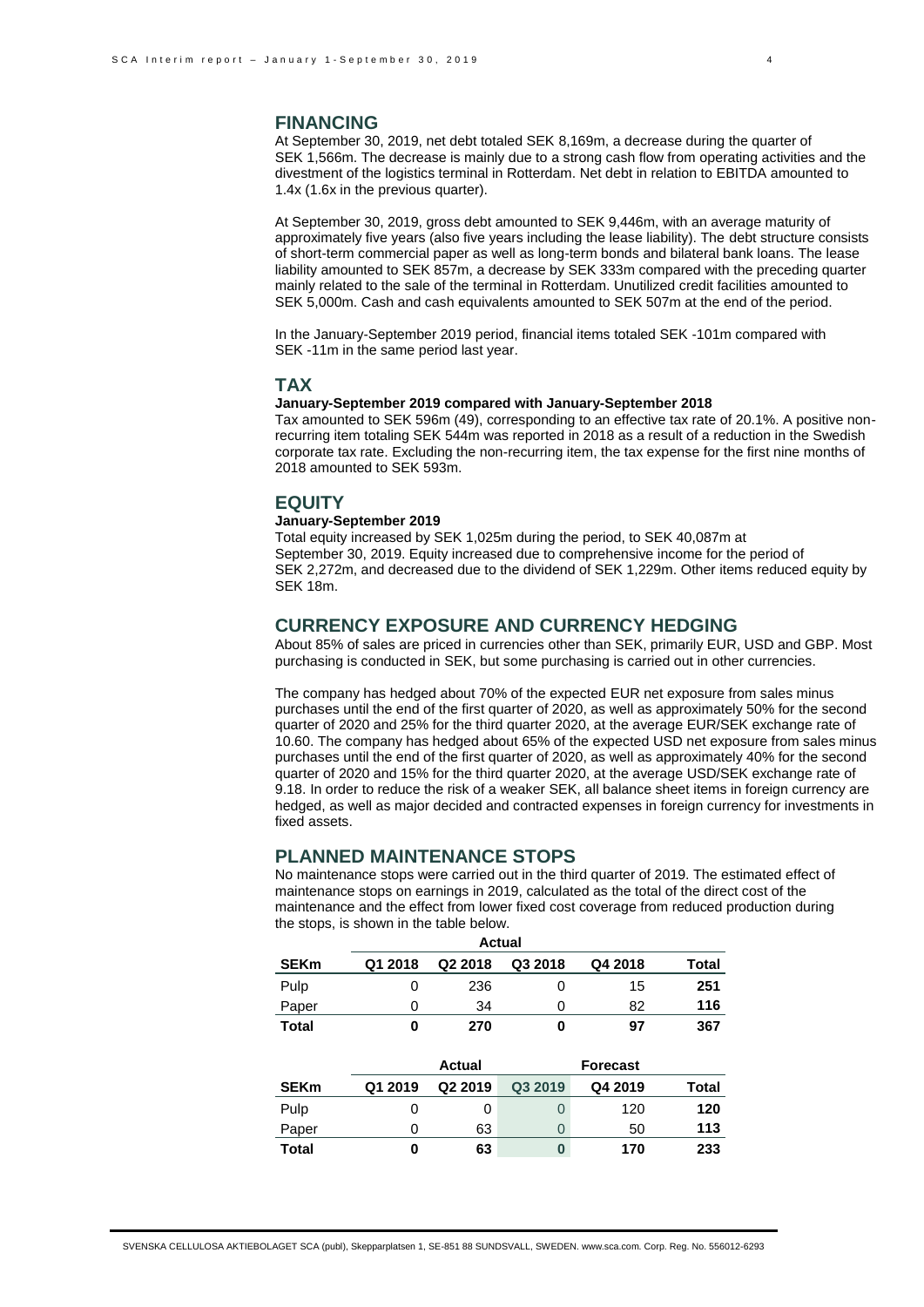At September 30, 2019, net debt totaled SEK 8,169m, a decrease during the quarter of SEK 1,566m. The decrease is mainly due to a strong cash flow from operating activities and the divestment of the logistics terminal in Rotterdam. Net debt in relation to EBITDA amounted to 1.4x (1.6x in the previous quarter).

At September 30, 2019, gross debt amounted to SEK 9,446m, with an average maturity of approximately five years (also five years including the lease liability). The debt structure consists of short-term commercial paper as well as long-term bonds and bilateral bank loans. The lease liability amounted to SEK 857m, a decrease by SEK 333m compared with the preceding quarter mainly related to the sale of the terminal in Rotterdam. Unutilized credit facilities amounted to SEK 5,000m. Cash and cash equivalents amounted to SEK 507m at the end of the period.

In the January-September 2019 period, financial items totaled SEK -101m compared with SEK -11m in the same period last year.

## **TAX**

## **January-September 2019 compared with January-September 2018**

Tax amounted to SEK 596m (49), corresponding to an effective tax rate of 20.1%. A positive nonrecurring item totaling SEK 544m was reported in 2018 as a result of a reduction in the Swedish corporate tax rate. Excluding the non-recurring item, the tax expense for the first nine months of 2018 amounted to SEK 593m.

# **EQUITY**

## **January-September 2019**

Total equity increased by SEK 1,025m during the period, to SEK 40,087m at September 30, 2019. Equity increased due to comprehensive income for the period of SEK 2,272m, and decreased due to the dividend of SEK 1,229m. Other items reduced equity by SEK 18m.

## **CURRENCY EXPOSURE AND CURRENCY HEDGING**

About 85% of sales are priced in currencies other than SEK, primarily EUR, USD and GBP. Most purchasing is conducted in SEK, but some purchasing is carried out in other currencies.

The company has hedged about 70% of the expected EUR net exposure from sales minus purchases until the end of the first quarter of 2020, as well as approximately 50% for the second quarter of 2020 and 25% for the third quarter 2020, at the average EUR/SEK exchange rate of 10.60. The company has hedged about 65% of the expected USD net exposure from sales minus purchases until the end of the first quarter of 2020, as well as approximately 40% for the second quarter of 2020 and 15% for the third quarter 2020, at the average USD/SEK exchange rate of 9.18. In order to reduce the risk of a weaker SEK, all balance sheet items in foreign currency are hedged, as well as major decided and contracted expenses in foreign currency for investments in fixed assets.

## **PLANNED MAINTENANCE STOPS**

No maintenance stops were carried out in the third quarter of 2019. The estimated effect of maintenance stops on earnings in 2019, calculated as the total of the direct cost of the maintenance and the effect from lower fixed cost coverage from reduced production during the stops, is shown in the table below.

| <b>Actual</b> |         |                     |          |                 |       |  |  |
|---------------|---------|---------------------|----------|-----------------|-------|--|--|
| <b>SEKm</b>   | Q1 2018 | Q <sub>2</sub> 2018 | Q3 2018  | Q4 2018         | Total |  |  |
| Pulp          | 0       | 236                 | 0        | 15              | 251   |  |  |
| Paper         | 0       | 34                  | 0        | 82              | 116   |  |  |
| <b>Total</b>  | 0       | 270                 | 0        | 97              | 367   |  |  |
|               |         |                     |          |                 |       |  |  |
|               |         |                     |          |                 |       |  |  |
|               |         | <b>Actual</b>       |          | <b>Forecast</b> |       |  |  |
| <b>SEKm</b>   | Q1 2019 | Q2 2019             | Q3 2019  | Q4 2019         | Total |  |  |
| Pulp          | 0       | 0                   | $\Omega$ | 120             | 120   |  |  |
| Paper         | 0       | 63                  | $\Omega$ | 50              | 113   |  |  |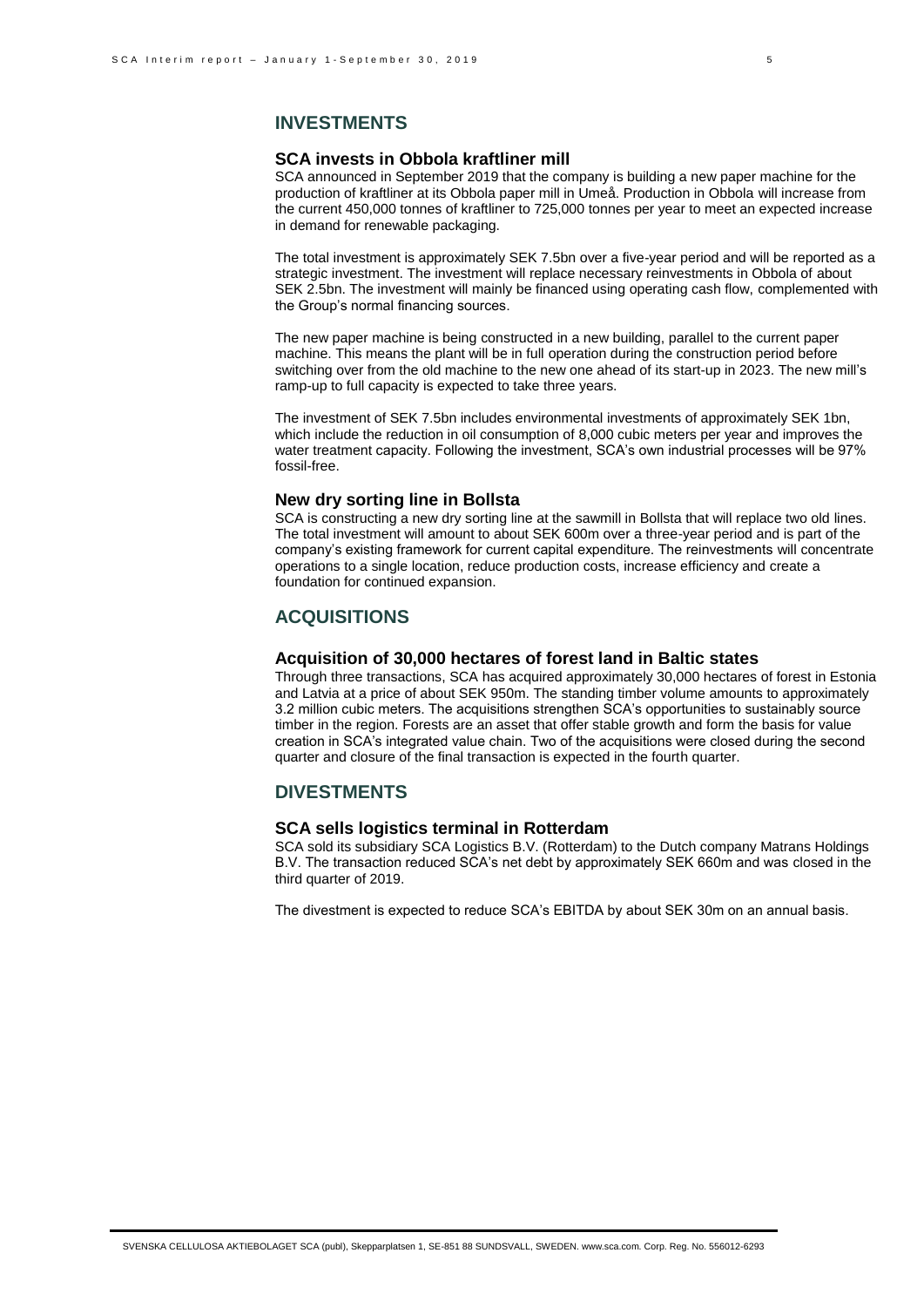## **SCA invests in Obbola kraftliner mill**

SCA announced in September 2019 that the company is building a new paper machine for the production of kraftliner at its Obbola paper mill in Umeå. Production in Obbola will increase from the current 450,000 tonnes of kraftliner to 725,000 tonnes per year to meet an expected increase in demand for renewable packaging.

The total investment is approximately SEK 7.5bn over a five-year period and will be reported as a strategic investment. The investment will replace necessary reinvestments in Obbola of about SEK 2.5bn. The investment will mainly be financed using operating cash flow, complemented with the Group's normal financing sources.

The new paper machine is being constructed in a new building, parallel to the current paper machine. This means the plant will be in full operation during the construction period before switching over from the old machine to the new one ahead of its start-up in 2023. The new mill's ramp-up to full capacity is expected to take three years.

The investment of SEK 7.5bn includes environmental investments of approximately SEK 1bn, which include the reduction in oil consumption of 8,000 cubic meters per year and improves the water treatment capacity. Following the investment, SCA's own industrial processes will be 97% fossil-free.

## **New dry sorting line in Bollsta**

SCA is constructing a new dry sorting line at the sawmill in Bollsta that will replace two old lines. The total investment will amount to about SEK 600m over a three-year period and is part of the company's existing framework for current capital expenditure. The reinvestments will concentrate operations to a single location, reduce production costs, increase efficiency and create a foundation for continued expansion.

# **ACQUISITIONS**

# **Acquisition of 30,000 hectares of forest land in Baltic states**

Through three transactions, SCA has acquired approximately 30,000 hectares of forest in Estonia and Latvia at a price of about SEK 950m. The standing timber volume amounts to approximately 3.2 million cubic meters. The acquisitions strengthen SCA's opportunities to sustainably source timber in the region. Forests are an asset that offer stable growth and form the basis for value creation in SCA's integrated value chain. Two of the acquisitions were closed during the second quarter and closure of the final transaction is expected in the fourth quarter.

## **DIVESTMENTS**

## **SCA sells logistics terminal in Rotterdam**

SCA sold its subsidiary SCA Logistics B.V. (Rotterdam) to the Dutch company Matrans Holdings B.V. The transaction reduced SCA's net debt by approximately SEK 660m and was closed in the third quarter of 2019.

The divestment is expected to reduce SCA's EBITDA by about SEK 30m on an annual basis.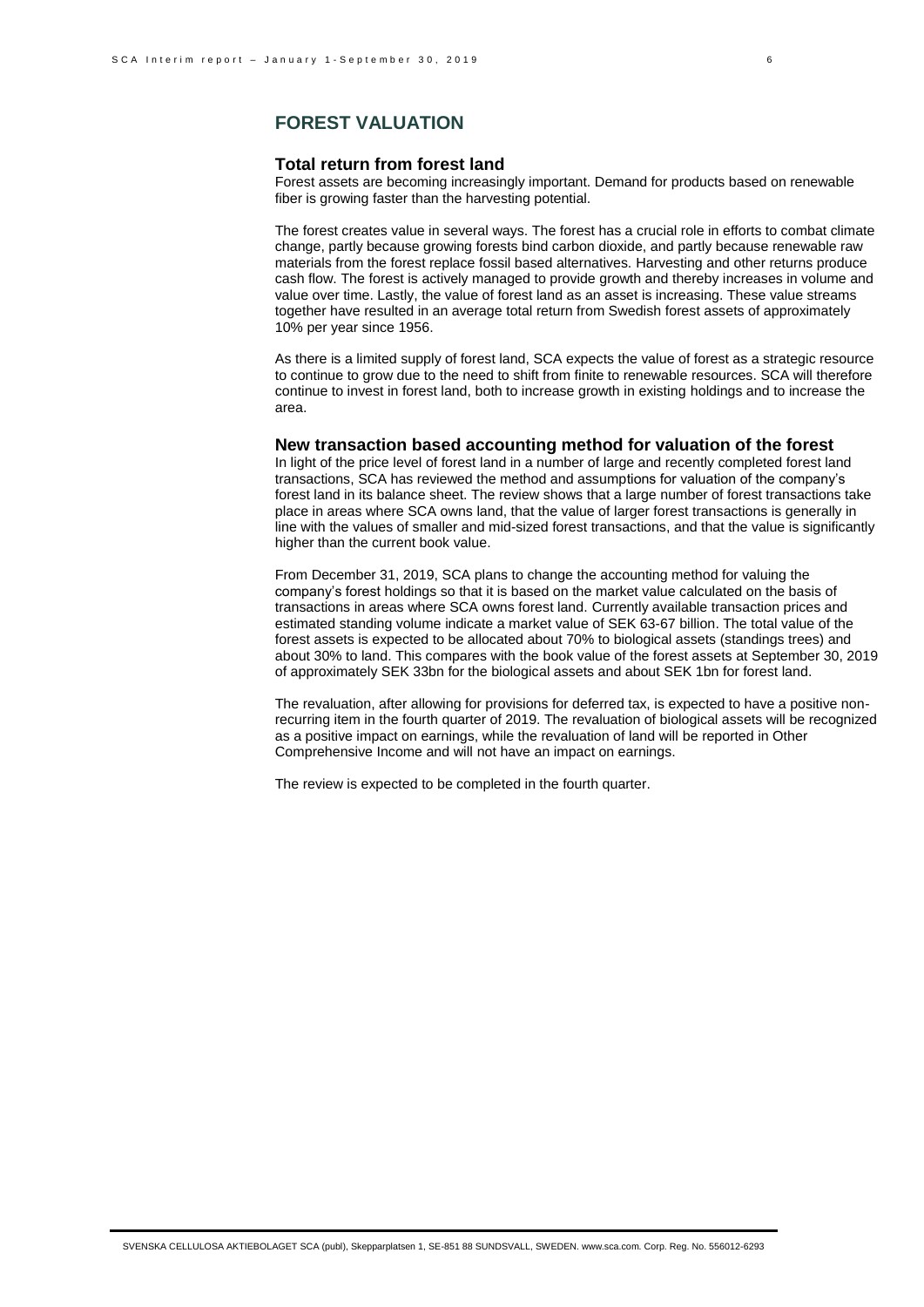# **FOREST VALUATION**

## **Total return from forest land**

Forest assets are becoming increasingly important. Demand for products based on renewable fiber is growing faster than the harvesting potential.

The forest creates value in several ways. The forest has a crucial role in efforts to combat climate change, partly because growing forests bind carbon dioxide, and partly because renewable raw materials from the forest replace fossil based alternatives. Harvesting and other returns produce cash flow. The forest is actively managed to provide growth and thereby increases in volume and value over time. Lastly, the value of forest land as an asset is increasing. These value streams together have resulted in an average total return from Swedish forest assets of approximately 10% per year since 1956.

As there is a limited supply of forest land, SCA expects the value of forest as a strategic resource to continue to grow due to the need to shift from finite to renewable resources. SCA will therefore continue to invest in forest land, both to increase growth in existing holdings and to increase the area.

## **New transaction based accounting method for valuation of the forest**

In light of the price level of forest land in a number of large and recently completed forest land transactions, SCA has reviewed the method and assumptions for valuation of the company's forest land in its balance sheet. The review shows that a large number of forest transactions take place in areas where SCA owns land, that the value of larger forest transactions is generally in line with the values of smaller and mid-sized forest transactions, and that the value is significantly higher than the current book value.

From December 31, 2019, SCA plans to change the accounting method for valuing the company's forest holdings so that it is based on the market value calculated on the basis of transactions in areas where SCA owns forest land. Currently available transaction prices and estimated standing volume indicate a market value of SEK 63-67 billion. The total value of the forest assets is expected to be allocated about 70% to biological assets (standings trees) and about 30% to land. This compares with the book value of the forest assets at September 30, 2019 of approximately SEK 33bn for the biological assets and about SEK 1bn for forest land.

The revaluation, after allowing for provisions for deferred tax, is expected to have a positive nonrecurring item in the fourth quarter of 2019. The revaluation of biological assets will be recognized as a positive impact on earnings, while the revaluation of land will be reported in Other Comprehensive Income and will not have an impact on earnings.

The review is expected to be completed in the fourth quarter.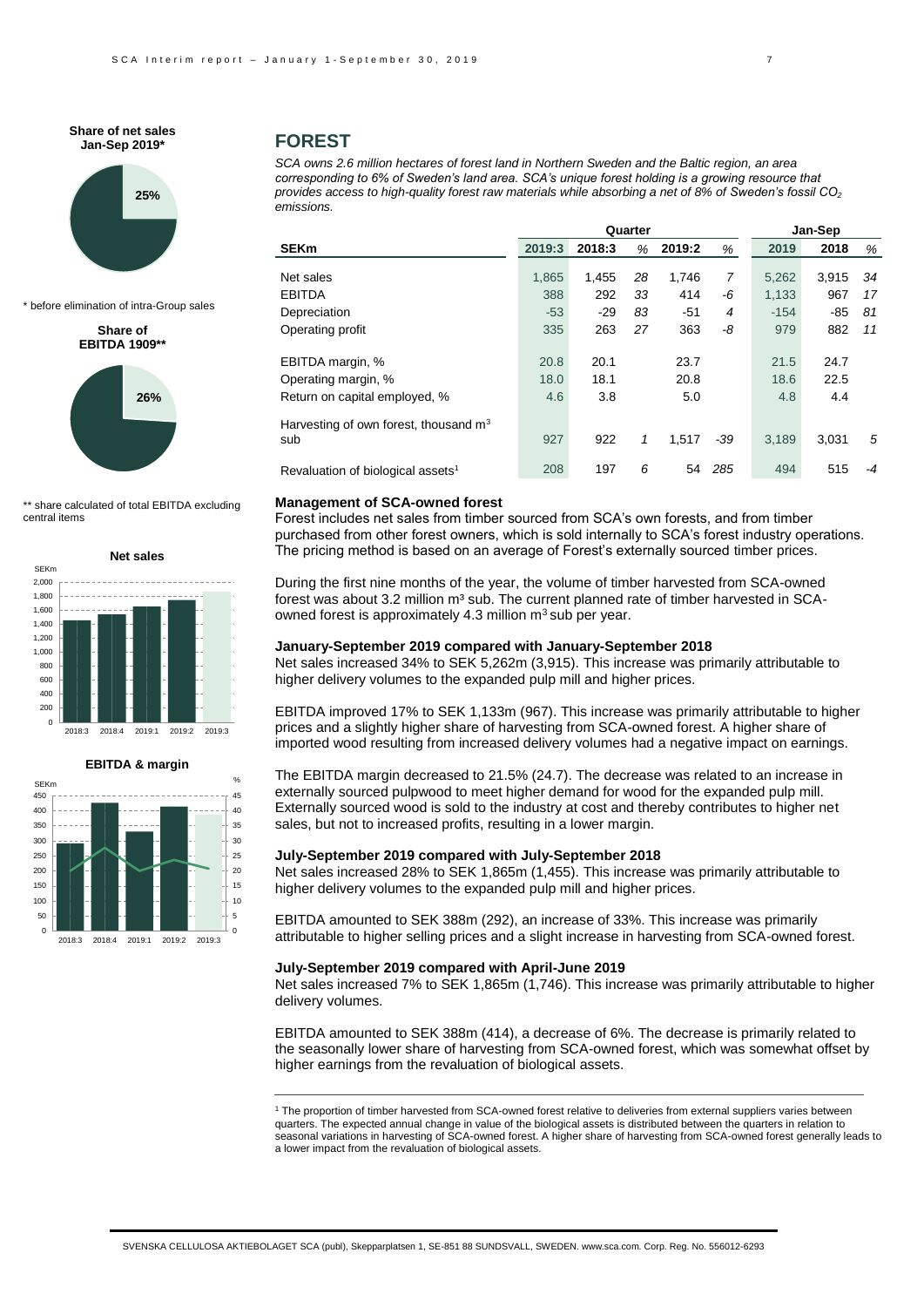**Share of net sales Jan-Sep 2019\***



\* before elimination of intra-Group sales

#### **Share of EBITDA 1909\*\***



\*\* share calculated of total EBITDA excluding central items





## **FOREST**

*SCA owns 2.6 million hectares of forest land in Northern Sweden and the Baltic region, an area corresponding to 6% of Sweden's land area. SCA's unique forest holding is a growing resource that provides access to high-quality forest raw materials while absorbing a net of 8% of Sweden's fossil CO<sup>2</sup> emissions.* 

|                                                |        | Quarter |    |        |       |        | Jan-Sep |      |  |  |
|------------------------------------------------|--------|---------|----|--------|-------|--------|---------|------|--|--|
| <b>SEKm</b>                                    | 2019:3 | 2018:3  | %  | 2019:2 | %     | 2019   | 2018    | %    |  |  |
| Net sales                                      | 1,865  | 1,455   | 28 | 1,746  | 7     | 5,262  | 3,915   | 34   |  |  |
| <b>EBITDA</b>                                  | 388    | 292     | 33 | 414    | -6    | 1,133  | 967     | 17   |  |  |
| Depreciation                                   | $-53$  | $-29$   | 83 | $-51$  | 4     | $-154$ | -85     | 81   |  |  |
| Operating profit                               | 335    | 263     | 27 | 363    | -8    | 979    | 882     | 11   |  |  |
| EBITDA margin, %                               | 20.8   | 20.1    |    | 23.7   |       | 21.5   | 24.7    |      |  |  |
| Operating margin, %                            | 18.0   | 18.1    |    | 20.8   |       | 18.6   | 22.5    |      |  |  |
| Return on capital employed, %                  | 4.6    | 3.8     |    | 5.0    |       | 4.8    | 4.4     |      |  |  |
| Harvesting of own forest, thousand $m3$<br>sub | 927    | 922     | 1  | 1.517  | $-39$ | 3.189  | 3.031   | 5    |  |  |
| Revaluation of biological assets <sup>1</sup>  | 208    | 197     | 6  | 54     | 285   | 494    | 515     | $-4$ |  |  |

### **Management of SCA-owned forest**

Forest includes net sales from timber sourced from SCA's own forests, and from timber purchased from other forest owners, which is sold internally to SCA's forest industry operations. The pricing method is based on an average of Forest's externally sourced timber prices.

During the first nine months of the year, the volume of timber harvested from SCA-owned forest was about 3.2 million  $m<sup>3</sup>$  sub. The current planned rate of timber harvested in SCAowned forest is approximately 4.3 million  $m<sup>3</sup>$  sub per year.

#### **January-September 2019 compared with January-September 2018**

Net sales increased 34% to SEK 5,262m (3,915). This increase was primarily attributable to higher delivery volumes to the expanded pulp mill and higher prices.

EBITDA improved 17% to SEK 1,133m (967). This increase was primarily attributable to higher prices and a slightly higher share of harvesting from SCA-owned forest. A higher share of imported wood resulting from increased delivery volumes had a negative impact on earnings.

The EBITDA margin decreased to 21.5% (24.7). The decrease was related to an increase in externally sourced pulpwood to meet higher demand for wood for the expanded pulp mill. Externally sourced wood is sold to the industry at cost and thereby contributes to higher net sales, but not to increased profits, resulting in a lower margin.

## **July-September 2019 compared with July-September 2018**

Net sales increased 28% to SEK 1,865m (1,455). This increase was primarily attributable to higher delivery volumes to the expanded pulp mill and higher prices.

EBITDA amounted to SEK 388m (292), an increase of 33%. This increase was primarily attributable to higher selling prices and a slight increase in harvesting from SCA-owned forest.

## **July-September 2019 compared with April-June 2019**

Net sales increased 7% to SEK 1,865m (1,746). This increase was primarily attributable to higher delivery volumes.

EBITDA amounted to SEK 388m (414), a decrease of 6%. The decrease is primarily related to the seasonally lower share of harvesting from SCA-owned forest, which was somewhat offset by higher earnings from the revaluation of biological assets.

<sup>1</sup> The proportion of timber harvested from SCA-owned forest relative to deliveries from external suppliers varies between quarters. The expected annual change in value of the biological assets is distributed between the quarters in relation to seasonal variations in harvesting of SCA-owned forest. A higher share of harvesting from SCA-owned forest generally leads to a lower impact from the revaluation of biological assets.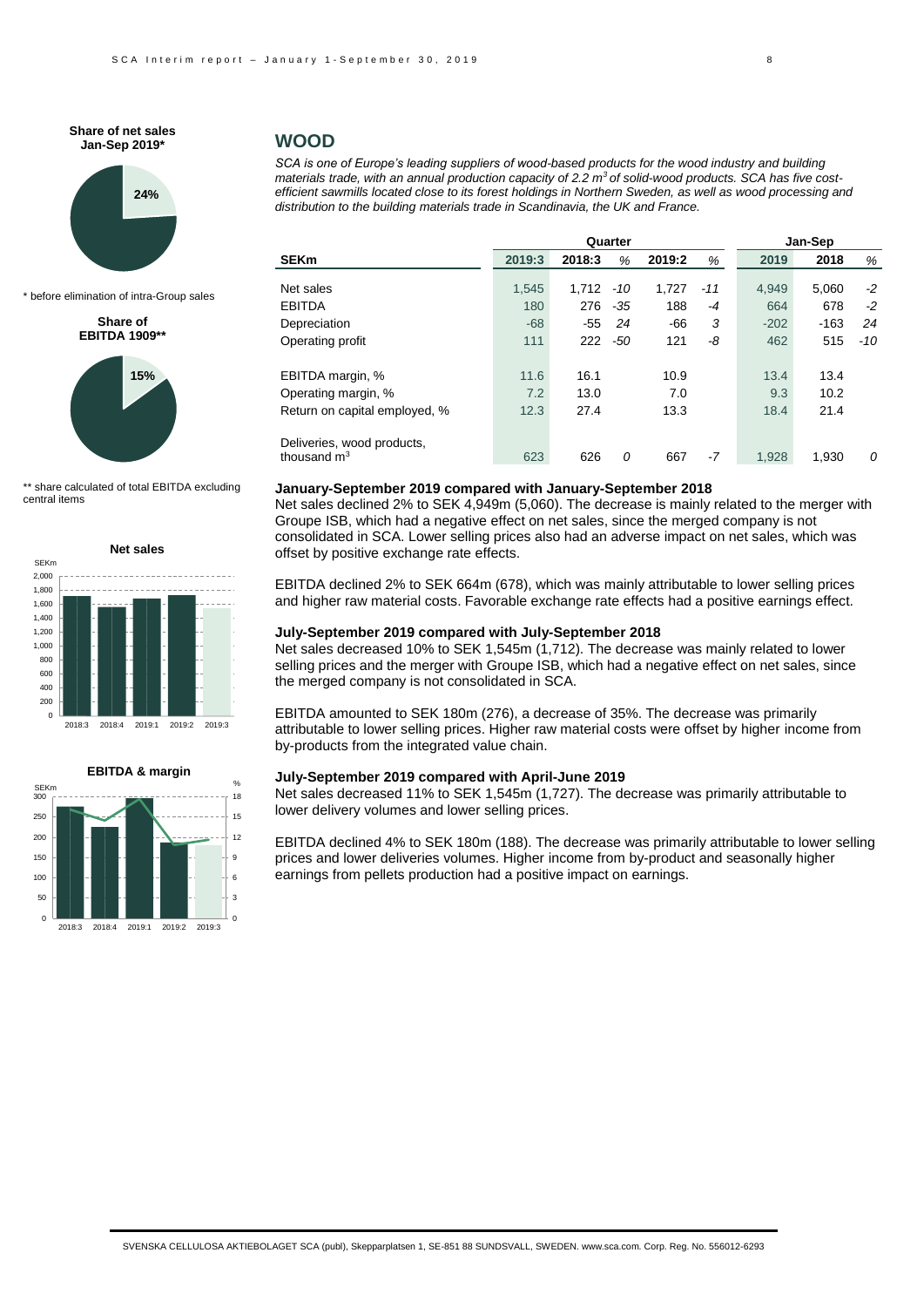**Share of net sales Jan-Sep 2019\***



\* before elimination of intra-Group sales

### **Share of EBITDA 1909\*\***



\*\* share calculated of total EBITDA excluding central items





## **WOOD**

*SCA is one of Europe's leading suppliers of wood-based products for the wood industry and building materials trade, with an annual production capacity of 2.2 m3 of solid-wood products. SCA has five costefficient sawmills located close to its forest holdings in Northern Sweden, as well as wood processing and distribution to the building materials trade in Scandinavia, the UK and France.*

|                                                       | Quarter |        |       |        | Jan-Sep |        |        |       |
|-------------------------------------------------------|---------|--------|-------|--------|---------|--------|--------|-------|
| <b>SEKm</b>                                           | 2019:3  | 2018:3 | %     | 2019:2 | %       | 2019   | 2018   | %     |
|                                                       |         |        |       |        |         |        |        |       |
| Net sales                                             | 1.545   | 1.712  | -10   | 1.727  | $-11$   | 4.949  | 5,060  | $-2$  |
| <b>EBITDA</b>                                         | 180     | 276    | $-35$ | 188    | $-4$    | 664    | 678    | $-2$  |
| Depreciation                                          | $-68$   | -55    | 24    | -66    | 3       | $-202$ | $-163$ | 24    |
| Operating profit                                      | 111     | 222    | -50   | 121    | -8      | 462    | 515    | $-10$ |
| EBITDA margin, %                                      | 11.6    | 16.1   |       | 10.9   |         | 13.4   | 13.4   |       |
| Operating margin, %                                   | 7.2     | 13.0   |       | 7.0    |         | 9.3    | 10.2   |       |
| Return on capital employed, %                         | 12.3    | 27.4   |       | 13.3   |         | 18.4   | 21.4   |       |
| Deliveries, wood products,<br>thousand $\mathsf{m}^3$ | 623     | 626    | 0     | 667    | $-7$    | 1.928  | 1.930  | 0     |
|                                                       |         |        |       |        |         |        |        |       |

### **January-September 2019 compared with January-September 2018**

Net sales declined 2% to SEK 4,949m (5,060). The decrease is mainly related to the merger with Groupe ISB, which had a negative effect on net sales, since the merged company is not consolidated in SCA. Lower selling prices also had an adverse impact on net sales, which was offset by positive exchange rate effects.

EBITDA declined 2% to SEK 664m (678), which was mainly attributable to lower selling prices and higher raw material costs. Favorable exchange rate effects had a positive earnings effect.

## **July-September 2019 compared with July-September 2018**

Net sales decreased 10% to SEK 1,545m (1,712). The decrease was mainly related to lower selling prices and the merger with Groupe ISB, which had a negative effect on net sales, since the merged company is not consolidated in SCA.

EBITDA amounted to SEK 180m (276), a decrease of 35%. The decrease was primarily attributable to lower selling prices. Higher raw material costs were offset by higher income from by-products from the integrated value chain.

### **July-September 2019 compared with April-June 2019**

Net sales decreased 11% to SEK 1,545m (1,727). The decrease was primarily attributable to lower delivery volumes and lower selling prices.

EBITDA declined 4% to SEK 180m (188). The decrease was primarily attributable to lower selling prices and lower deliveries volumes. Higher income from by-product and seasonally higher earnings from pellets production had a positive impact on earnings.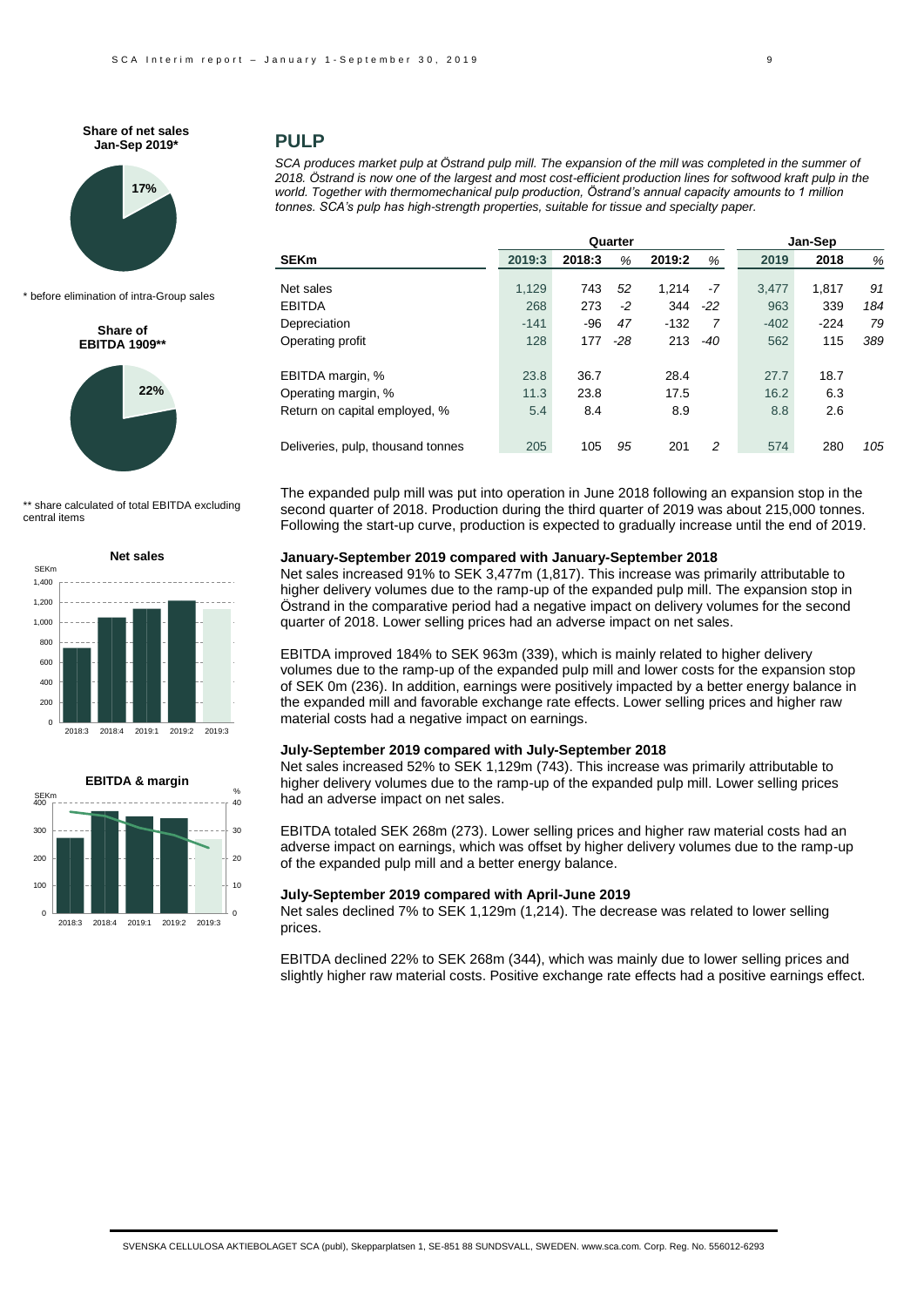**Share of net sales Jan-Sep 2019\***



\* before elimination of intra-Group sales

#### **Share of EBITDA 1909\*\***



\*\* share calculated of total EBITDA excluding central items





## **PULP**

*SCA produces market pulp at Östrand pulp mill. The expansion of the mill was completed in the summer of* 2018. Östrand is now one of the largest and most cost-efficient production lines for softwood kraft pulp in the *world. Together with thermomechanical pulp production, Östrand's annual capacity amounts to 1 million tonnes. SCA's pulp has high-strength properties, suitable for tissue and specialty paper.*

|                                   | Quarter |        |       |        |       | Jan-Sep |        |     |  |
|-----------------------------------|---------|--------|-------|--------|-------|---------|--------|-----|--|
| <b>SEKm</b>                       | 2019:3  | 2018:3 | %     | 2019:2 | %     | 2019    | 2018   | %   |  |
| Net sales                         | 1,129   | 743    | 52    | 1.214  | $-7$  | 3.477   | 1.817  | 91  |  |
|                                   |         |        |       |        |       |         |        |     |  |
| <b>EBITDA</b>                     | 268     | 273    | $-2$  | 344    | $-22$ | 963     | 339    | 184 |  |
| Depreciation                      | $-141$  | -96    | 47    | $-132$ | 7     | $-402$  | $-224$ | 79  |  |
| Operating profit                  | 128     | 177    | $-28$ | 213    | $-40$ | 562     | 115    | 389 |  |
| EBITDA margin, %                  | 23.8    | 36.7   |       | 28.4   |       | 27.7    | 18.7   |     |  |
| Operating margin, %               | 11.3    | 23.8   |       | 17.5   |       | 16.2    | 6.3    |     |  |
| Return on capital employed, %     | 5.4     | 8.4    |       | 8.9    |       | 8.8     | 2.6    |     |  |
| Deliveries, pulp, thousand tonnes | 205     | 105    | 95    | 201    | 2     | 574     | 280    | 105 |  |

The expanded pulp mill was put into operation in June 2018 following an expansion stop in the second quarter of 2018. Production during the third quarter of 2019 was about 215,000 tonnes. Following the start-up curve, production is expected to gradually increase until the end of 2019.

### **January-September 2019 compared with January-September 2018**

Net sales increased 91% to SEK 3,477m (1,817). This increase was primarily attributable to higher delivery volumes due to the ramp-up of the expanded pulp mill. The expansion stop in Östrand in the comparative period had a negative impact on delivery volumes for the second quarter of 2018. Lower selling prices had an adverse impact on net sales.

EBITDA improved 184% to SEK 963m (339), which is mainly related to higher delivery volumes due to the ramp-up of the expanded pulp mill and lower costs for the expansion stop of SEK 0m (236). In addition, earnings were positively impacted by a better energy balance in the expanded mill and favorable exchange rate effects. Lower selling prices and higher raw material costs had a negative impact on earnings.

# **July-September 2019 compared with July-September 2018**

Net sales increased 52% to SEK 1,129m (743). This increase was primarily attributable to higher delivery volumes due to the ramp-up of the expanded pulp mill. Lower selling prices had an adverse impact on net sales.

EBITDA totaled SEK 268m (273). Lower selling prices and higher raw material costs had an adverse impact on earnings, which was offset by higher delivery volumes due to the ramp-up of the expanded pulp mill and a better energy balance.

### **July-September 2019 compared with April-June 2019**

Net sales declined 7% to SEK 1,129m (1,214). The decrease was related to lower selling prices.

EBITDA declined 22% to SEK 268m (344), which was mainly due to lower selling prices and slightly higher raw material costs. Positive exchange rate effects had a positive earnings effect.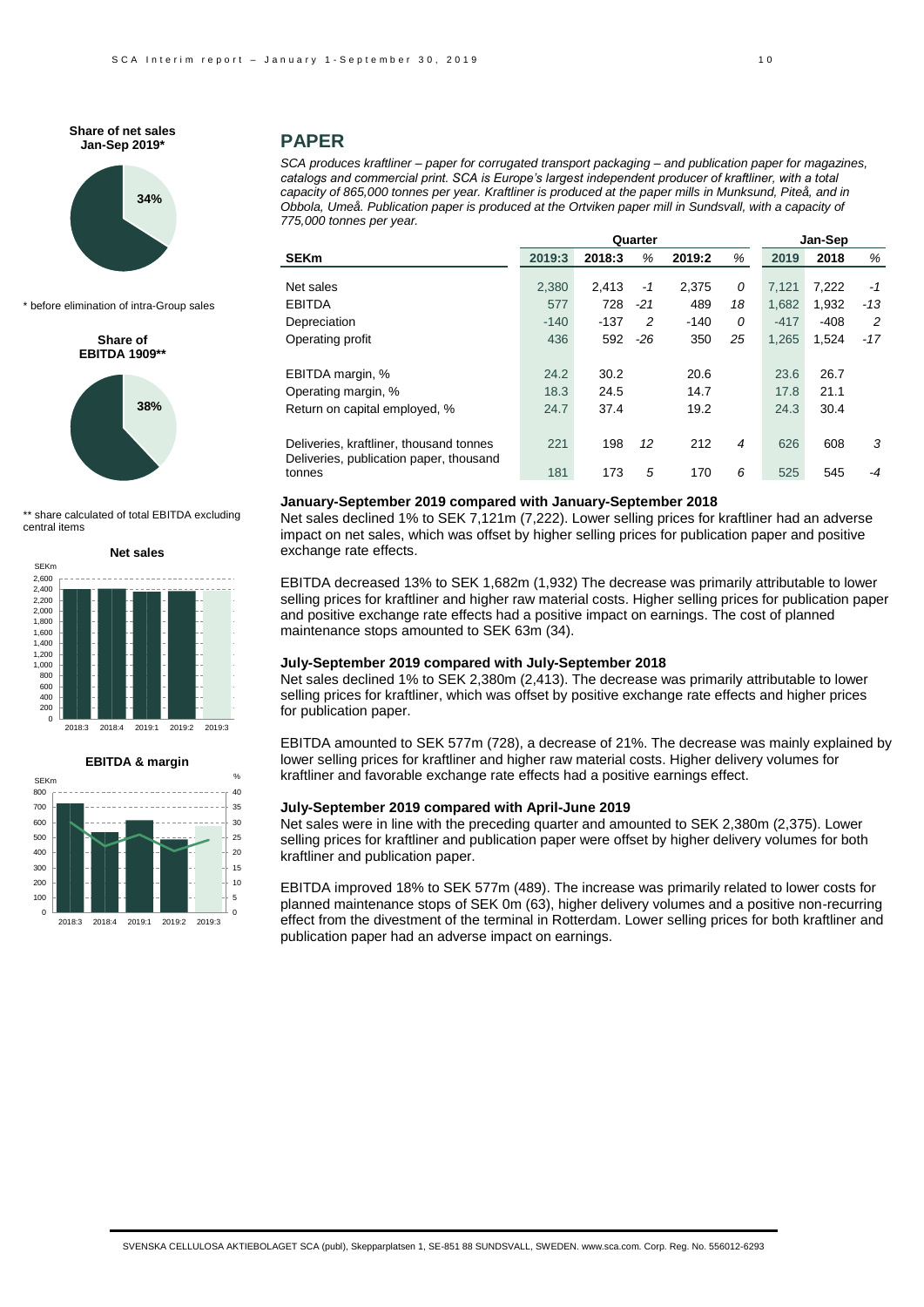**Share of net sales Jan-Sep 2019\***



\* before elimination of intra-Group sales

**Share of EBITDA 1909\*\*** 



\*\* share calculated of total EBITDA excluding central items





## **PAPER**

*SCA produces kraftliner – paper for corrugated transport packaging – and publication paper for magazines,*  catalogs and commercial print. SCA is Europe's largest independent producer of kraftliner, with a total *capacity of 865,000 tonnes per year. Kraftliner is produced at the paper mills in Munksund, Piteå, and in Obbola, Umeå. Publication paper is produced at the Ortviken paper mill in Sundsvall, with a capacity of 775,000 tonnes per year.*

|                                                                                    |        | Quarter |       | Jan-Sep |    |        |        |       |
|------------------------------------------------------------------------------------|--------|---------|-------|---------|----|--------|--------|-------|
| <b>SEKm</b>                                                                        | 2019:3 | 2018:3  | %     | 2019:2  | %  | 2019   | 2018   | %     |
| Net sales                                                                          | 2,380  | 2.413   | $-1$  | 2,375   | 0  | 7.121  | 7,222  | $-1$  |
| <b>EBITDA</b>                                                                      | 577    | 728     | $-21$ | 489     | 18 | 1,682  | 1,932  | $-13$ |
| Depreciation                                                                       | $-140$ | $-137$  | 2     | $-140$  | 0  | $-417$ | $-408$ | 2     |
| Operating profit                                                                   | 436    | 592     | $-26$ | 350     | 25 | 1.265  | 1,524  | $-17$ |
| EBITDA margin, %                                                                   | 24.2   | 30.2    |       | 20.6    |    | 23.6   | 26.7   |       |
| Operating margin, %                                                                | 18.3   | 24.5    |       | 14.7    |    | 17.8   | 21.1   |       |
| Return on capital employed, %                                                      | 24.7   | 37.4    |       | 19.2    |    | 24.3   | 30.4   |       |
| Deliveries, kraftliner, thousand tonnes<br>Deliveries, publication paper, thousand | 221    | 198     | 12    | 212     | 4  | 626    | 608    | 3     |
| tonnes                                                                             | 181    | 173     | 5     | 170     | 6  | 525    | 545    | -4    |

### **January-September 2019 compared with January-September 2018**

Net sales declined 1% to SEK 7,121m (7,222). Lower selling prices for kraftliner had an adverse impact on net sales, which was offset by higher selling prices for publication paper and positive exchange rate effects.

EBITDA decreased 13% to SEK 1,682m (1,932) The decrease was primarily attributable to lower selling prices for kraftliner and higher raw material costs. Higher selling prices for publication paper and positive exchange rate effects had a positive impact on earnings. The cost of planned maintenance stops amounted to SEK 63m (34).

### **July-September 2019 compared with July-September 2018**

Net sales declined 1% to SEK 2,380m (2,413). The decrease was primarily attributable to lower selling prices for kraftliner, which was offset by positive exchange rate effects and higher prices for publication paper.

EBITDA amounted to SEK 577m (728), a decrease of 21%. The decrease was mainly explained by lower selling prices for kraftliner and higher raw material costs. Higher delivery volumes for kraftliner and favorable exchange rate effects had a positive earnings effect.

### **July-September 2019 compared with April-June 2019**

Net sales were in line with the preceding quarter and amounted to SEK 2,380m (2,375). Lower selling prices for kraftliner and publication paper were offset by higher delivery volumes for both kraftliner and publication paper.

EBITDA improved 18% to SEK 577m (489). The increase was primarily related to lower costs for planned maintenance stops of SEK 0m (63), higher delivery volumes and a positive non-recurring effect from the divestment of the terminal in Rotterdam. Lower selling prices for both kraftliner and publication paper had an adverse impact on earnings.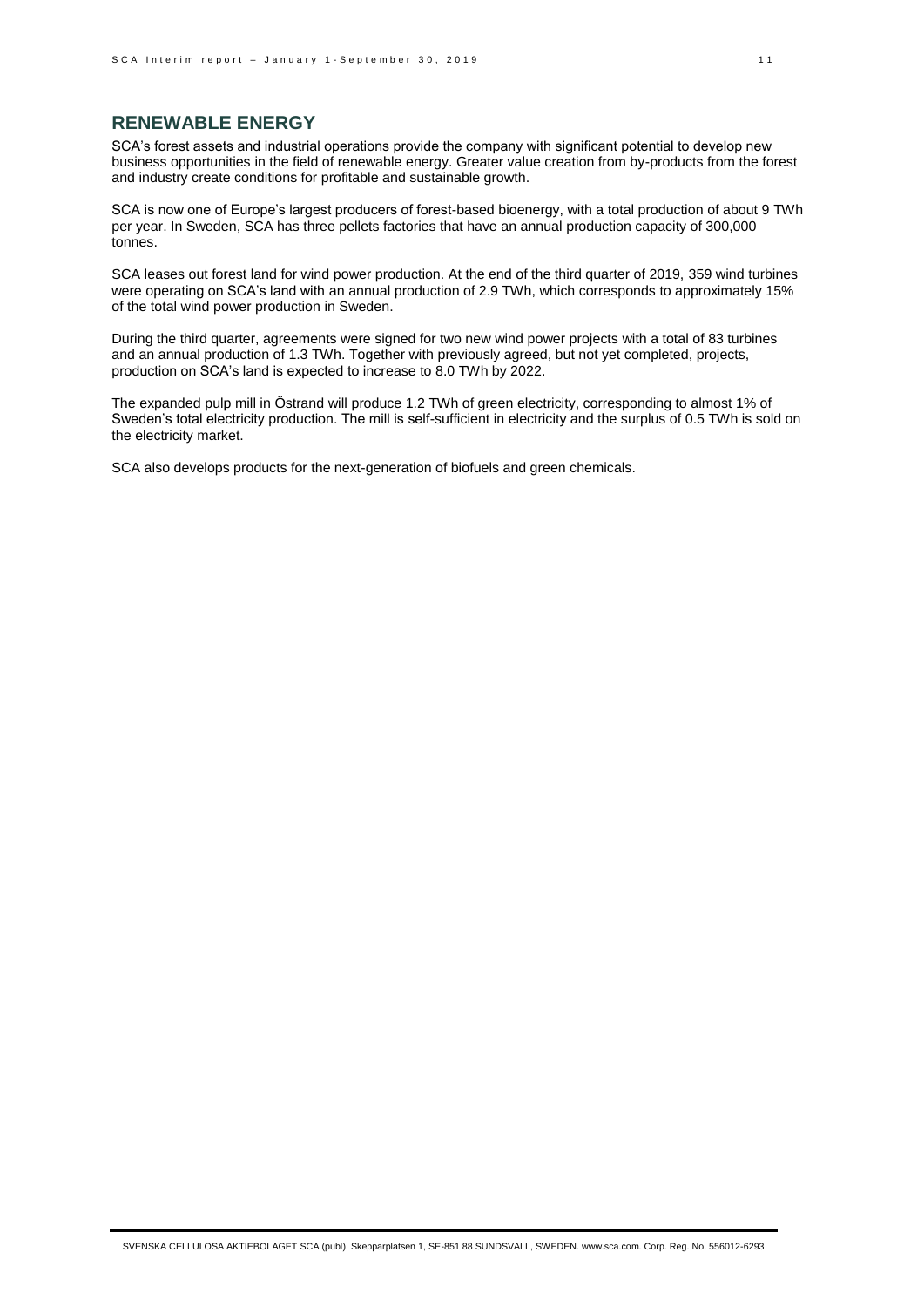# **RENEWABLE ENERGY**

SCA's forest assets and industrial operations provide the company with significant potential to develop new business opportunities in the field of renewable energy. Greater value creation from by-products from the forest and industry create conditions for profitable and sustainable growth.

SCA is now one of Europe's largest producers of forest-based bioenergy, with a total production of about 9 TWh per year. In Sweden, SCA has three pellets factories that have an annual production capacity of 300,000 tonnes.

SCA leases out forest land for wind power production. At the end of the third quarter of 2019, 359 wind turbines were operating on SCA's land with an annual production of 2.9 TWh, which corresponds to approximately 15% of the total wind power production in Sweden.

During the third quarter, agreements were signed for two new wind power projects with a total of 83 turbines and an annual production of 1.3 TWh. Together with previously agreed, but not yet completed, projects, production on SCA's land is expected to increase to 8.0 TWh by 2022.

The expanded pulp mill in Östrand will produce 1.2 TWh of green electricity, corresponding to almost 1% of Sweden's total electricity production. The mill is self-sufficient in electricity and the surplus of 0.5 TWh is sold on the electricity market.

SCA also develops products for the next-generation of biofuels and green chemicals.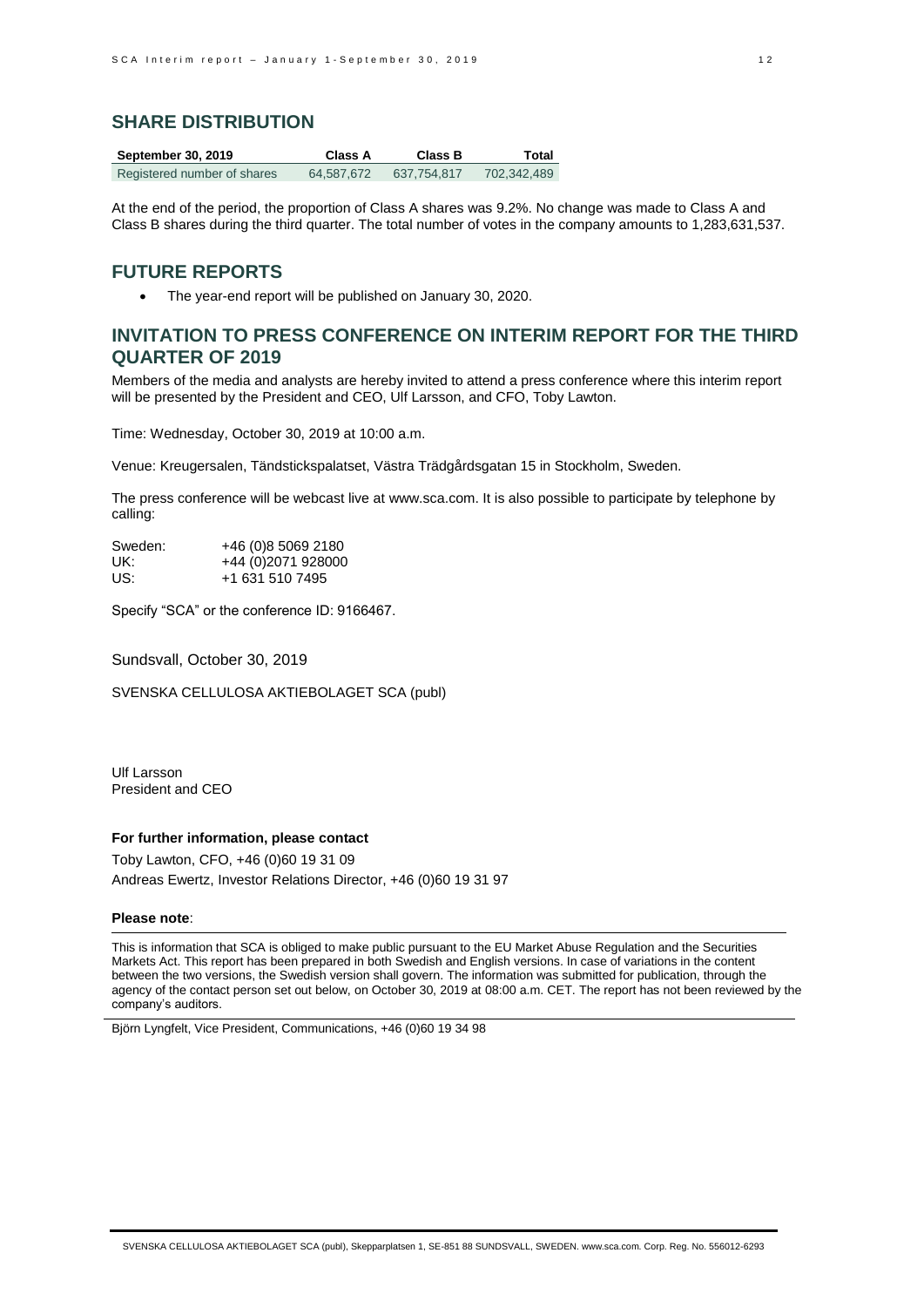# **SHARE DISTRIBUTION**

| <b>September 30, 2019</b>   | Class A    | <b>Class B</b> | Total       |
|-----------------------------|------------|----------------|-------------|
| Registered number of shares | 64.587.672 | 637.754.817    | 702.342.489 |

At the end of the period, the proportion of Class A shares was 9.2%. No change was made to Class A and Class B shares during the third quarter. The total number of votes in the company amounts to 1,283,631,537.

## **FUTURE REPORTS**

The year-end report will be published on January 30, 2020.

# **INVITATION TO PRESS CONFERENCE ON INTERIM REPORT FOR THE THIRD QUARTER OF 2019**

Members of the media and analysts are hereby invited to attend a press conference where this interim report will be presented by the President and CEO, Ulf Larsson, and CFO, Toby Lawton.

Time: Wednesday, October 30, 2019 at 10:00 a.m.

Venue: Kreugersalen, Tändstickspalatset, Västra Trädgårdsgatan 15 in Stockholm, Sweden.

The press conference will be webcast live a[t www.sca.com.](http://www.sca.com/) It is also possible to participate by telephone by calling:

| Sweden: | +46 (0)8 5069 2180  |
|---------|---------------------|
| UK:     | +44 (0) 2071 928000 |
| US:     | +1 631 510 7495     |

Specify "SCA" or the conference ID: 9166467.

Sundsvall, October 30, 2019

SVENSKA CELLULOSA AKTIEBOLAGET SCA (publ)

Ulf Larsson President and CEO

## **For further information, please contact**

Toby Lawton, CFO, +46 (0)60 19 31 09 Andreas Ewertz, Investor Relations Director, +46 (0)60 19 31 97

#### **Please note**:

This is information that SCA is obliged to make public pursuant to the EU Market Abuse Regulation and the Securities Markets Act. This report has been prepared in both Swedish and English versions. In case of variations in the content between the two versions, the Swedish version shall govern. The information was submitted for publication, through the agency of the contact person set out below, on October 30, 2019 at 08:00 a.m. CET. The report has not been reviewed by the company's auditors.

Björn Lyngfelt, Vice President, Communications, +46 (0)60 19 34 98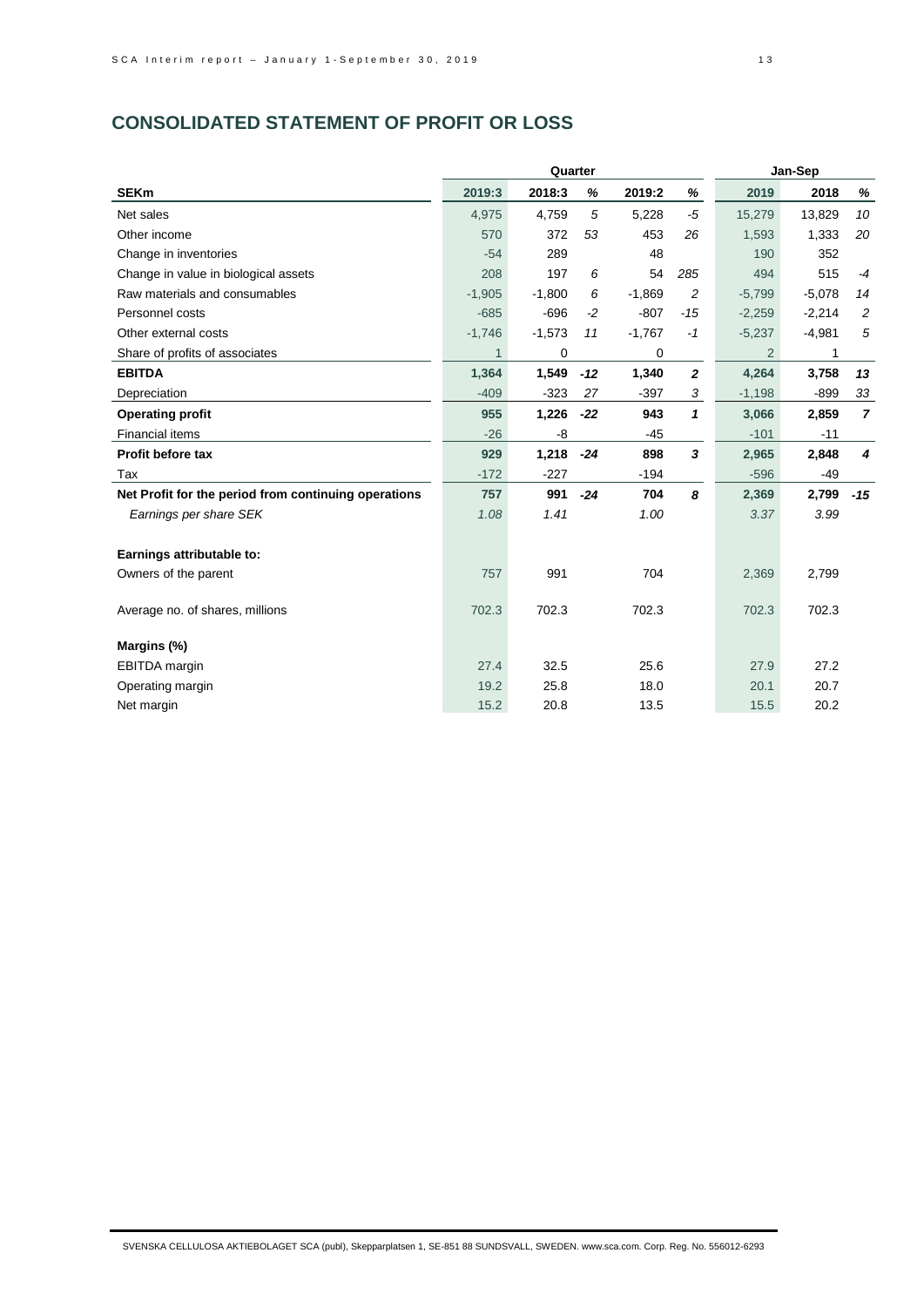# **CONSOLIDATED STATEMENT OF PROFIT OR LOSS**

|                                                      |          | Quarter  |       |          |                  |                | Jan-Sep  |                  |
|------------------------------------------------------|----------|----------|-------|----------|------------------|----------------|----------|------------------|
| <b>SEKm</b>                                          | 2019:3   | 2018:3   | %     | 2019:2   | %                | 2019           | 2018     | %                |
| Net sales                                            | 4,975    | 4,759    | 5     | 5,228    | $-5$             | 15,279         | 13,829   | 10               |
| Other income                                         | 570      | 372      | 53    | 453      | 26               | 1,593          | 1,333    | 20               |
| Change in inventories                                | $-54$    | 289      |       | 48       |                  | 190            | 352      |                  |
| Change in value in biological assets                 | 208      | 197      | 6     | 54       | 285              | 494            | 515      | $-4$             |
| Raw materials and consumables                        | $-1,905$ | $-1,800$ | 6     | $-1,869$ | $\overline{c}$   | $-5,799$       | $-5,078$ | 14               |
| Personnel costs                                      | $-685$   | $-696$   | $-2$  | $-807$   | $-15$            | $-2,259$       | $-2,214$ | $\overline{c}$   |
| Other external costs                                 | $-1,746$ | $-1,573$ | 11    | $-1,767$ | $-1$             | $-5,237$       | $-4,981$ | 5                |
| Share of profits of associates                       |          | 0        |       | 0        |                  | $\overline{2}$ | 1        |                  |
| <b>EBITDA</b>                                        | 1,364    | 1,549    | $-12$ | 1,340    | $\boldsymbol{2}$ | 4,264          | 3,758    | 13               |
| Depreciation                                         | $-409$   | $-323$   | 27    | $-397$   | 3                | $-1,198$       | $-899$   | 33               |
| <b>Operating profit</b>                              | 955      | 1,226    | $-22$ | 943      | $\mathbf{1}$     | 3,066          | 2,859    | $\overline{7}$   |
| <b>Financial items</b>                               | $-26$    | -8       |       | $-45$    |                  | $-101$         | $-11$    |                  |
| <b>Profit before tax</b>                             | 929      | 1,218    | $-24$ | 898      | 3                | 2,965          | 2,848    | $\boldsymbol{4}$ |
| Tax                                                  | $-172$   | $-227$   |       | $-194$   |                  | $-596$         | $-49$    |                  |
| Net Profit for the period from continuing operations | 757      | 991      | $-24$ | 704      | 8                | 2,369          | 2,799    | $-15$            |
| Earnings per share SEK                               | 1.08     | 1.41     |       | 1.00     |                  | 3.37           | 3.99     |                  |
|                                                      |          |          |       |          |                  |                |          |                  |
| Earnings attributable to:                            |          |          |       |          |                  |                |          |                  |
| Owners of the parent                                 | 757      | 991      |       | 704      |                  | 2,369          | 2,799    |                  |
|                                                      |          |          |       |          |                  |                |          |                  |
| Average no. of shares, millions                      | 702.3    | 702.3    |       | 702.3    |                  | 702.3          | 702.3    |                  |
|                                                      |          |          |       |          |                  |                |          |                  |
| Margins (%)                                          |          |          |       |          |                  |                |          |                  |
| <b>EBITDA</b> margin                                 | 27.4     | 32.5     |       | 25.6     |                  | 27.9           | 27.2     |                  |
| Operating margin                                     | 19.2     | 25.8     |       | 18.0     |                  | 20.1           | 20.7     |                  |
| Net margin                                           | 15.2     | 20.8     |       | 13.5     |                  | 15.5           | 20.2     |                  |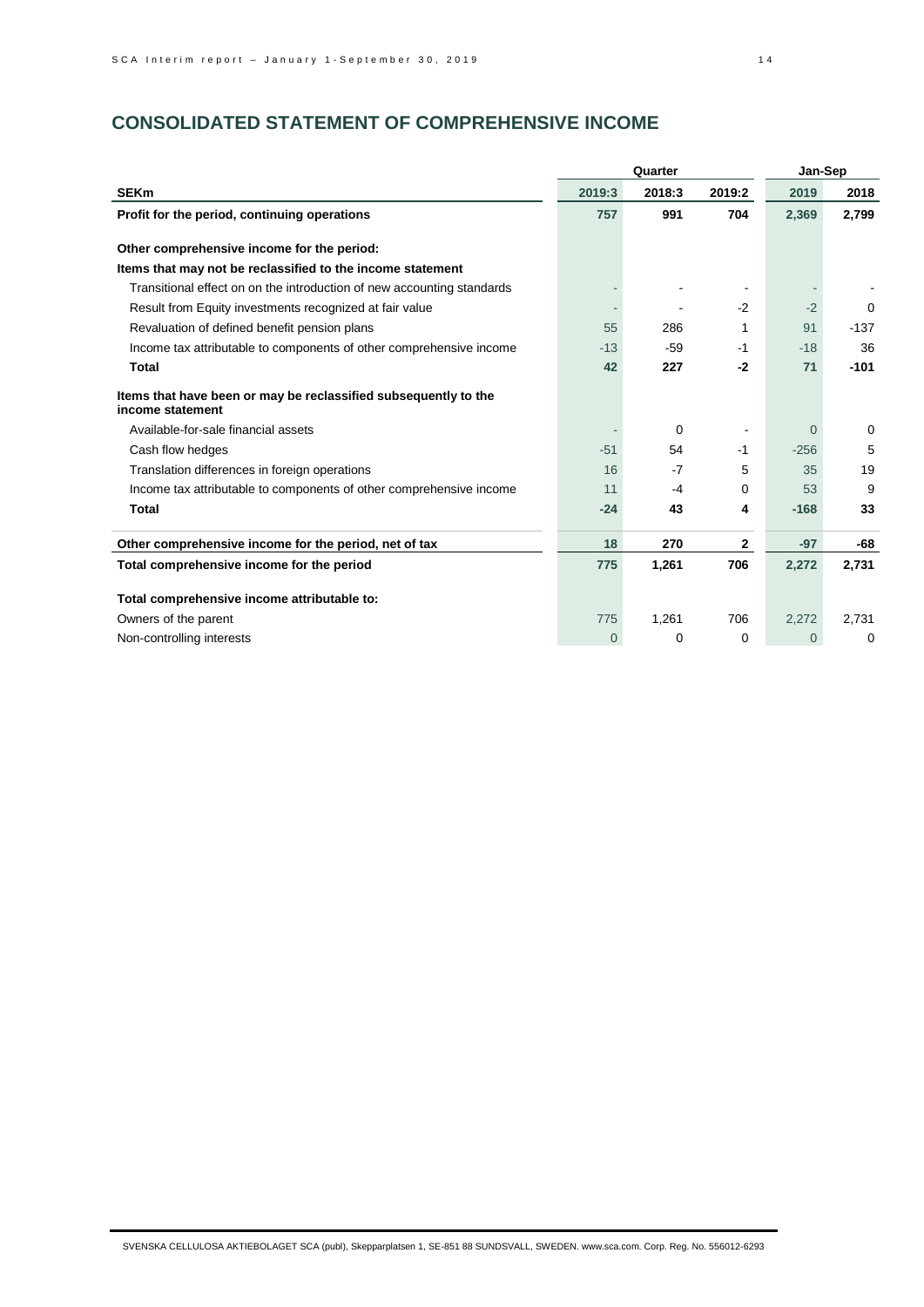# **CONSOLIDATED STATEMENT OF COMPREHENSIVE INCOME**

|                                                                                     |          | Quarter |                          | Jan-Sep        |          |
|-------------------------------------------------------------------------------------|----------|---------|--------------------------|----------------|----------|
| <b>SEKm</b>                                                                         | 2019:3   | 2018:3  | 2019:2                   | 2019           | 2018     |
| Profit for the period, continuing operations                                        | 757      | 991     | 704                      | 2,369          | 2,799    |
| Other comprehensive income for the period:                                          |          |         |                          |                |          |
| Items that may not be reclassified to the income statement                          |          |         |                          |                |          |
| Transitional effect on on the introduction of new accounting standards              |          |         |                          |                |          |
| Result from Equity investments recognized at fair value                             |          |         | $-2$                     | $-2$           | $\Omega$ |
| Revaluation of defined benefit pension plans                                        | 55       | 286     | 1                        | 91             | $-137$   |
| Income tax attributable to components of other comprehensive income                 | $-13$    | $-59$   | $-1$                     | $-18$          | 36       |
| Total                                                                               | 42       | 227     | $-2$                     | 71             | $-101$   |
| Items that have been or may be reclassified subsequently to the<br>income statement |          |         |                          |                |          |
| Available-for-sale financial assets                                                 |          | 0       | $\overline{\phantom{a}}$ | $\overline{0}$ | $\Omega$ |
| Cash flow hedges                                                                    | $-51$    | 54      | $-1$                     | $-256$         | 5        |
| Translation differences in foreign operations                                       | 16       | $-7$    | 5                        | 35             | 19       |
| Income tax attributable to components of other comprehensive income                 | 11       | $-4$    | 0                        | 53             | 9        |
| <b>Total</b>                                                                        | $-24$    | 43      | 4                        | $-168$         | 33       |
| Other comprehensive income for the period, net of tax                               | 18       | 270     | $\mathbf{2}$             | $-97$          | -68      |
| Total comprehensive income for the period                                           | 775      | 1,261   | 706                      | 2,272          | 2,731    |
| Total comprehensive income attributable to:                                         |          |         |                          |                |          |
| Owners of the parent                                                                | 775      | 1,261   | 706                      | 2,272          | 2,731    |
| Non-controlling interests                                                           | $\Omega$ | 0       | $\Omega$                 | $\Omega$       | 0        |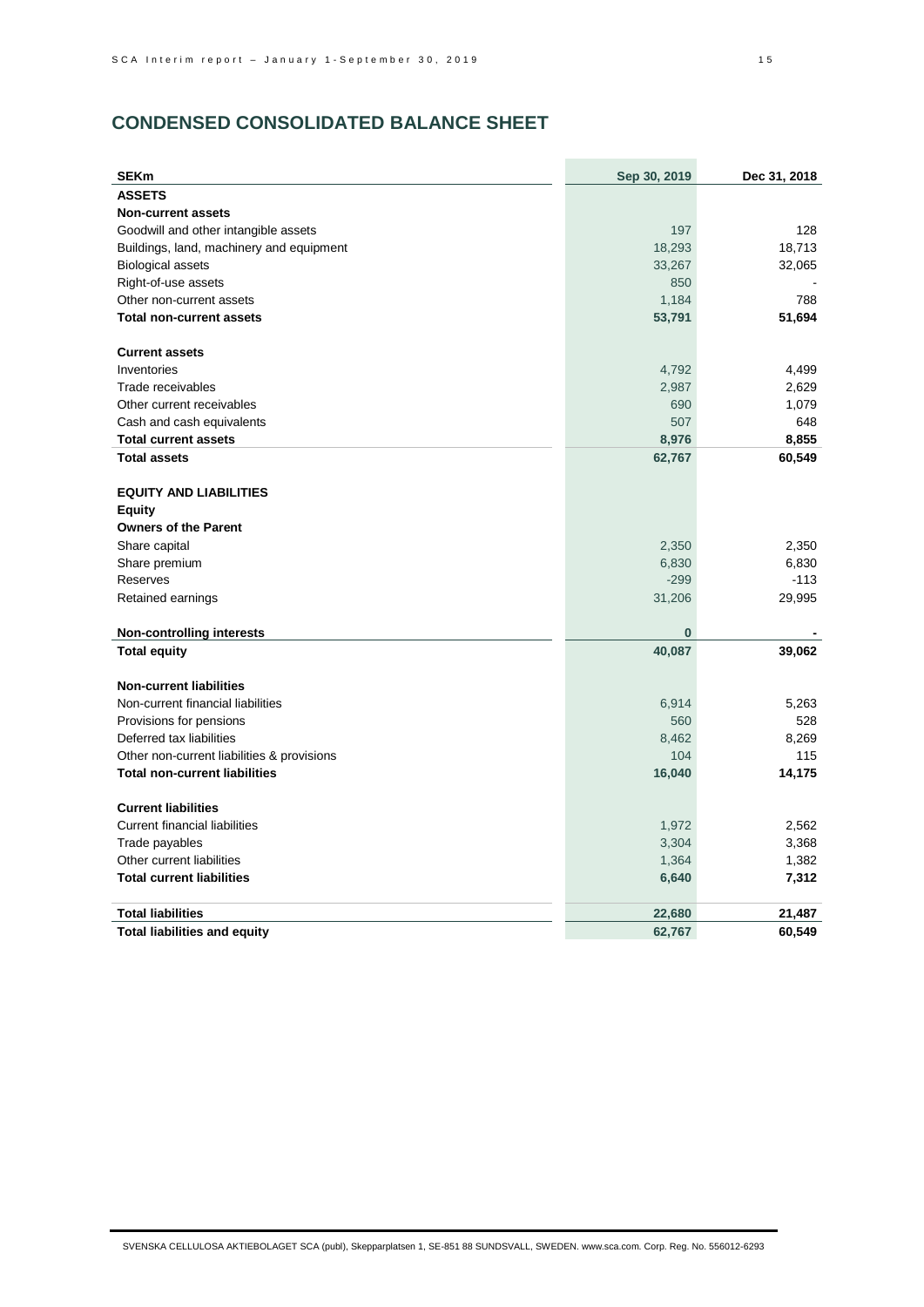# **CONDENSED CONSOLIDATED BALANCE SHEET**

| <b>SEKm</b>                                | Sep 30, 2019 | Dec 31, 2018 |
|--------------------------------------------|--------------|--------------|
| <b>ASSETS</b>                              |              |              |
| <b>Non-current assets</b>                  |              |              |
| Goodwill and other intangible assets       | 197          | 128          |
| Buildings, land, machinery and equipment   | 18,293       | 18,713       |
| <b>Biological assets</b>                   | 33,267       | 32,065       |
| Right-of-use assets                        | 850          |              |
| Other non-current assets                   | 1,184        | 788          |
| <b>Total non-current assets</b>            | 53,791       | 51,694       |
| <b>Current assets</b>                      |              |              |
| Inventories                                | 4,792        | 4,499        |
| Trade receivables                          | 2,987        | 2,629        |
| Other current receivables                  | 690          | 1,079        |
| Cash and cash equivalents                  | 507          | 648          |
| <b>Total current assets</b>                | 8,976        | 8,855        |
| <b>Total assets</b>                        | 62,767       | 60,549       |
| <b>EQUITY AND LIABILITIES</b>              |              |              |
| <b>Equity</b>                              |              |              |
| <b>Owners of the Parent</b>                |              |              |
| Share capital                              | 2,350        | 2,350        |
| Share premium                              | 6,830        | 6,830        |
| Reserves                                   | $-299$       | $-113$       |
| Retained earnings                          | 31,206       | 29,995       |
| <b>Non-controlling interests</b>           | $\bf{0}$     |              |
| <b>Total equity</b>                        | 40,087       | 39,062       |
|                                            |              |              |
| <b>Non-current liabilities</b>             |              |              |
| Non-current financial liabilities          | 6,914        | 5,263        |
| Provisions for pensions                    | 560          | 528          |
| Deferred tax liabilities                   | 8,462        | 8,269        |
| Other non-current liabilities & provisions | 104          | 115          |
| <b>Total non-current liabilities</b>       | 16,040       | 14,175       |
| <b>Current liabilities</b>                 |              |              |
| <b>Current financial liabilities</b>       | 1,972        | 2,562        |
| Trade payables                             | 3,304        | 3,368        |
| Other current liabilities                  | 1,364        | 1,382        |
| <b>Total current liabilities</b>           | 6,640        | 7,312        |
| <b>Total liabilities</b>                   | 22,680       | 21,487       |
| <b>Total liabilities and equity</b>        | 62,767       | 60,549       |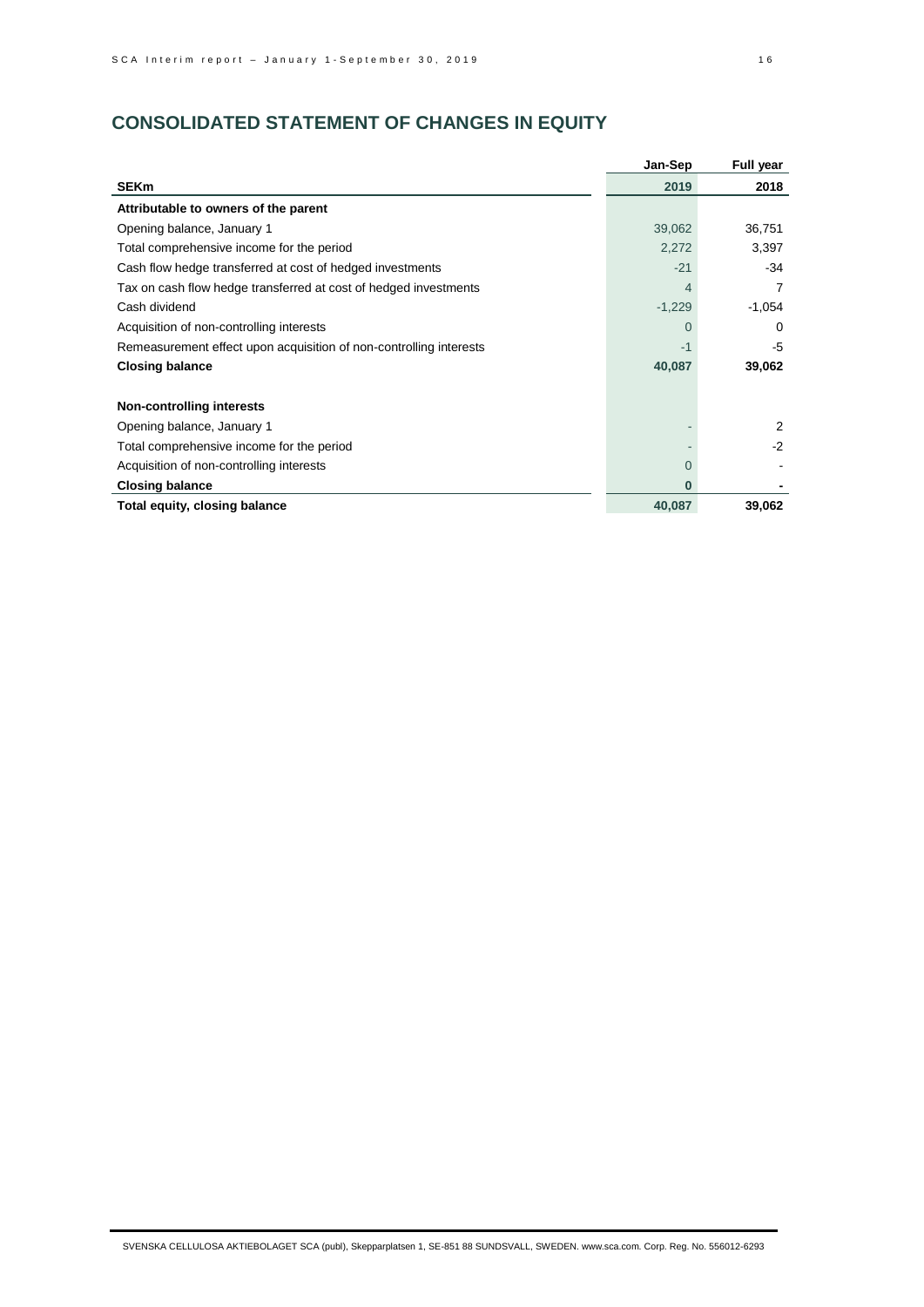# **CONSOLIDATED STATEMENT OF CHANGES IN EQUITY**

|                                                                    | Jan-Sep  | <b>Full year</b> |
|--------------------------------------------------------------------|----------|------------------|
| <b>SEKm</b>                                                        | 2019     | 2018             |
| Attributable to owners of the parent                               |          |                  |
| Opening balance, January 1                                         | 39,062   | 36,751           |
| Total comprehensive income for the period                          | 2,272    | 3,397            |
| Cash flow hedge transferred at cost of hedged investments          | $-21$    | $-34$            |
| Tax on cash flow hedge transferred at cost of hedged investments   |          | 7                |
| Cash dividend                                                      | $-1,229$ | $-1,054$         |
| Acquisition of non-controlling interests                           | $\Omega$ | $\Omega$         |
| Remeasurement effect upon acquisition of non-controlling interests | $-1$     | $-5$             |
| <b>Closing balance</b>                                             | 40,087   | 39,062           |
| <b>Non-controlling interests</b>                                   |          |                  |
| Opening balance, January 1                                         |          | 2                |
| Total comprehensive income for the period                          |          | $-2$             |
| Acquisition of non-controlling interests                           | $\Omega$ |                  |
| <b>Closing balance</b>                                             | n        |                  |
| Total equity, closing balance                                      | 40,087   | 39,062           |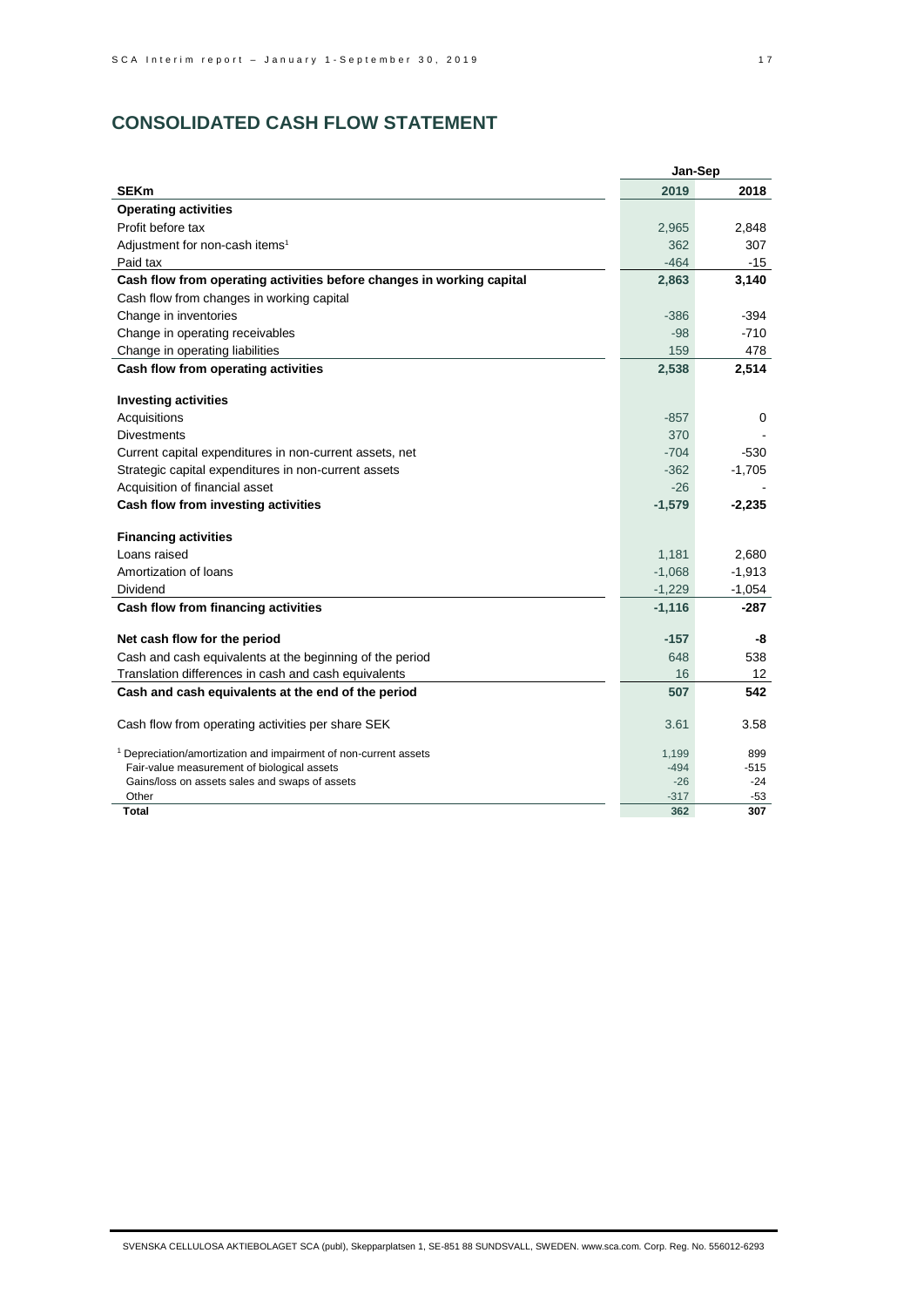# **CONSOLIDATED CASH FLOW STATEMENT**

| <b>SEKm</b><br>2019<br>2018<br><b>Operating activities</b><br>Profit before tax<br>2,848<br>2,965<br>Adjustment for non-cash items <sup>1</sup><br>362<br>307 |
|---------------------------------------------------------------------------------------------------------------------------------------------------------------|
|                                                                                                                                                               |
|                                                                                                                                                               |
|                                                                                                                                                               |
|                                                                                                                                                               |
| $-464$<br>Paid tax<br>$-15$                                                                                                                                   |
| Cash flow from operating activities before changes in working capital<br>2,863<br>3,140                                                                       |
| Cash flow from changes in working capital                                                                                                                     |
| Change in inventories<br>$-394$<br>$-386$                                                                                                                     |
| $-98$<br>$-710$<br>Change in operating receivables                                                                                                            |
| 159<br>Change in operating liabilities<br>478                                                                                                                 |
| Cash flow from operating activities<br>2,538<br>2,514                                                                                                         |
| <b>Investing activities</b>                                                                                                                                   |
| Acquisitions<br>$-857$<br>0                                                                                                                                   |
| <b>Divestments</b><br>370                                                                                                                                     |
| $-704$<br>$-530$<br>Current capital expenditures in non-current assets, net                                                                                   |
| Strategic capital expenditures in non-current assets<br>$-362$<br>$-1,705$                                                                                    |
| Acquisition of financial asset<br>$-26$                                                                                                                       |
| Cash flow from investing activities<br>$-2,235$<br>$-1,579$                                                                                                   |
| <b>Financing activities</b>                                                                                                                                   |
| Loans raised<br>2,680<br>1,181                                                                                                                                |
| $-1,913$<br>Amortization of loans<br>$-1,068$                                                                                                                 |
| Dividend<br>$-1,229$<br>$-1,054$                                                                                                                              |
| Cash flow from financing activities<br>$-1,116$<br>-287                                                                                                       |
| Net cash flow for the period<br>$-157$<br>-8                                                                                                                  |
| Cash and cash equivalents at the beginning of the period<br>648<br>538                                                                                        |
| Translation differences in cash and cash equivalents<br>16<br>12 <sup>2</sup>                                                                                 |
| 542<br>Cash and cash equivalents at the end of the period<br>507                                                                                              |
| Cash flow from operating activities per share SEK<br>3.58<br>3.61                                                                                             |
| <sup>1</sup> Depreciation/amortization and impairment of non-current assets<br>1,199<br>899                                                                   |
| Fair-value measurement of biological assets<br>$-494$<br>$-515$                                                                                               |
| $-26$<br>Gains/loss on assets sales and swaps of assets<br>$-24$                                                                                              |
| Other<br>$-317$<br>$-53$<br>Total<br>362<br>307                                                                                                               |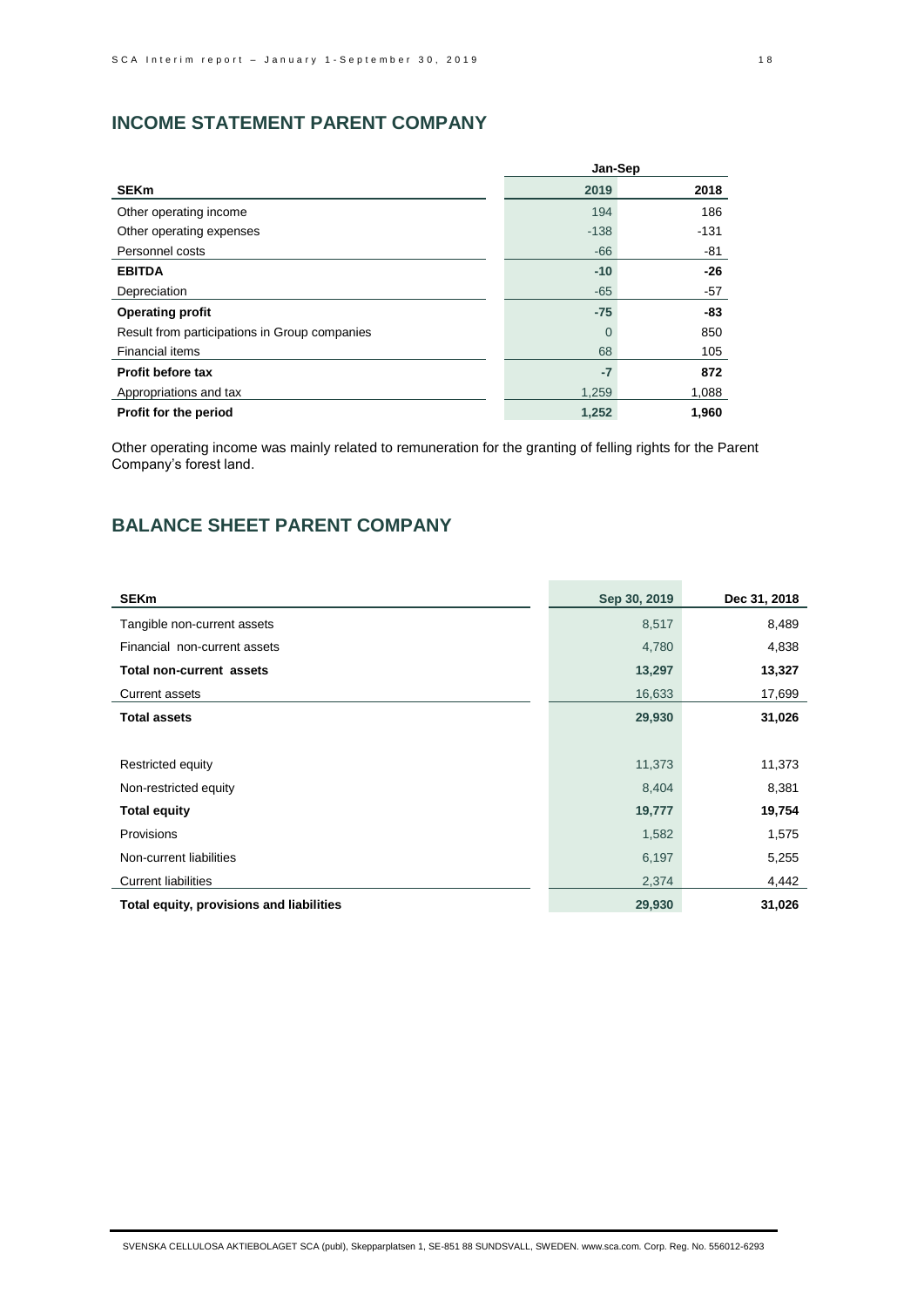# **INCOME STATEMENT PARENT COMPANY**

|                                               | Jan-Sep  |        |
|-----------------------------------------------|----------|--------|
| <b>SEKm</b>                                   | 2019     | 2018   |
| Other operating income                        | 194      | 186    |
| Other operating expenses                      | $-138$   | $-131$ |
| Personnel costs                               | $-66$    | -81    |
| <b>EBITDA</b>                                 | $-10$    | $-26$  |
| Depreciation                                  | $-65$    | $-57$  |
| <b>Operating profit</b>                       | $-75$    | -83    |
| Result from participations in Group companies | $\Omega$ | 850    |
| <b>Financial items</b>                        | 68       | 105    |
| Profit before tax                             | $-7$     | 872    |
| Appropriations and tax                        | 1,259    | 1,088  |
| Profit for the period                         | 1,252    | 1,960  |

Other operating income was mainly related to remuneration for the granting of felling rights for the Parent Company's forest land.

# **BALANCE SHEET PARENT COMPANY**

| <b>SEKm</b>                              | Sep 30, 2019 | Dec 31, 2018 |
|------------------------------------------|--------------|--------------|
| Tangible non-current assets              | 8,517        | 8,489        |
| Financial non-current assets             | 4,780        | 4,838        |
| <b>Total non-current assets</b>          | 13,297       | 13,327       |
| <b>Current assets</b>                    | 16,633       | 17,699       |
| <b>Total assets</b>                      | 29,930       | 31,026       |
|                                          |              |              |
| Restricted equity                        | 11,373       | 11,373       |
| Non-restricted equity                    | 8,404        | 8,381        |
| <b>Total equity</b>                      | 19,777       | 19,754       |
| Provisions                               | 1,582        | 1,575        |
| Non-current liabilities                  | 6,197        | 5,255        |
| <b>Current liabilities</b>               | 2,374        | 4,442        |
| Total equity, provisions and liabilities | 29,930       | 31,026       |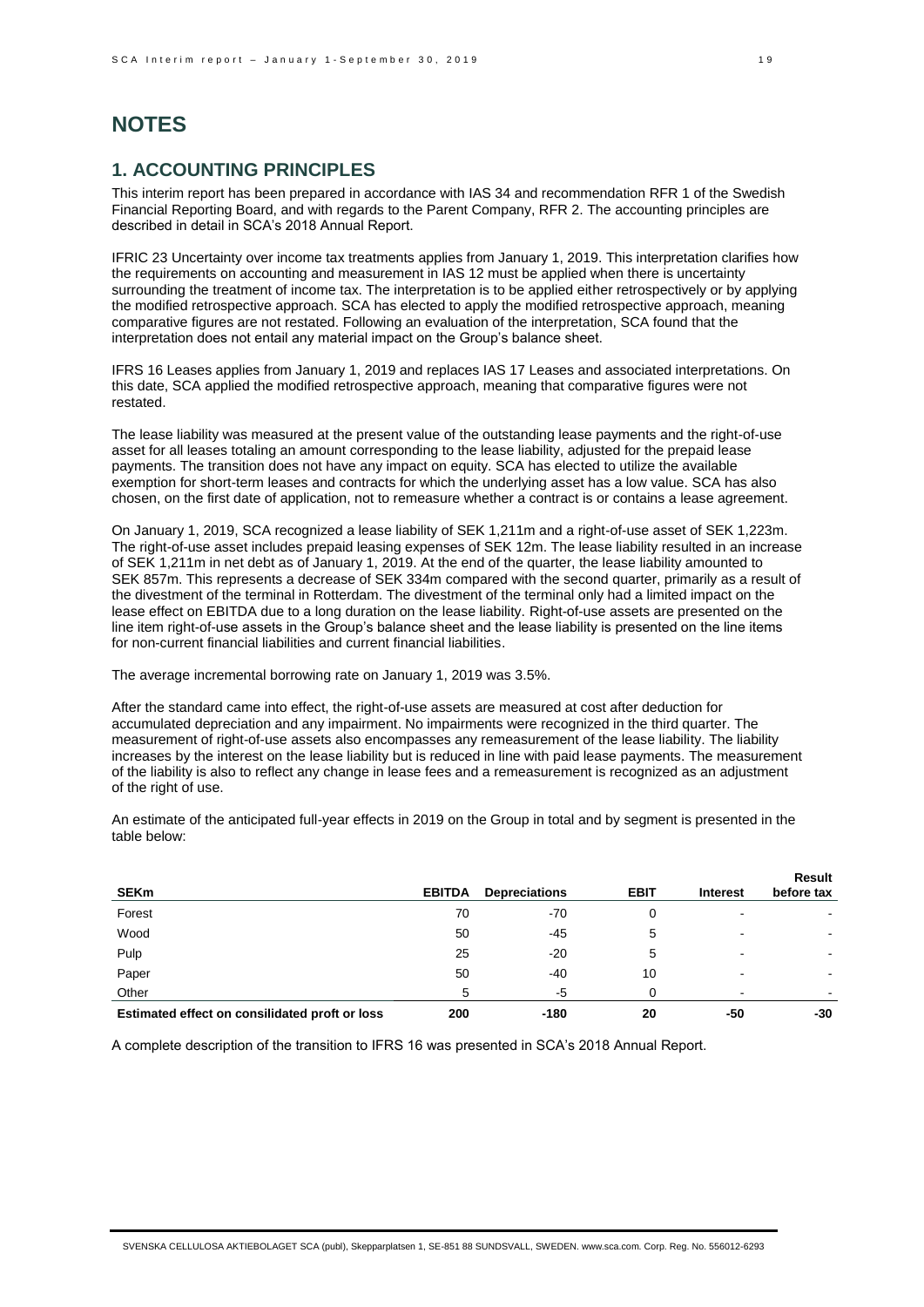# **NOTES**

# **1. ACCOUNTING PRINCIPLES**

This interim report has been prepared in accordance with IAS 34 and recommendation RFR 1 of the Swedish Financial Reporting Board, and with regards to the Parent Company, RFR 2. The accounting principles are described in detail in SCA's 2018 Annual Report.

IFRIC 23 Uncertainty over income tax treatments applies from January 1, 2019. This interpretation clarifies how the requirements on accounting and measurement in IAS 12 must be applied when there is uncertainty surrounding the treatment of income tax. The interpretation is to be applied either retrospectively or by applying the modified retrospective approach. SCA has elected to apply the modified retrospective approach, meaning comparative figures are not restated. Following an evaluation of the interpretation, SCA found that the interpretation does not entail any material impact on the Group's balance sheet.

IFRS 16 Leases applies from January 1, 2019 and replaces IAS 17 Leases and associated interpretations. On this date, SCA applied the modified retrospective approach, meaning that comparative figures were not restated.

The lease liability was measured at the present value of the outstanding lease payments and the right-of-use asset for all leases totaling an amount corresponding to the lease liability, adjusted for the prepaid lease payments. The transition does not have any impact on equity. SCA has elected to utilize the available exemption for short-term leases and contracts for which the underlying asset has a low value. SCA has also chosen, on the first date of application, not to remeasure whether a contract is or contains a lease agreement.

On January 1, 2019, SCA recognized a lease liability of SEK 1,211m and a right-of-use asset of SEK 1,223m. The right-of-use asset includes prepaid leasing expenses of SEK 12m. The lease liability resulted in an increase of SEK 1,211m in net debt as of January 1, 2019. At the end of the quarter, the lease liability amounted to SEK 857m. This represents a decrease of SEK 334m compared with the second quarter, primarily as a result of the divestment of the terminal in Rotterdam. The divestment of the terminal only had a limited impact on the lease effect on EBITDA due to a long duration on the lease liability. Right-of-use assets are presented on the line item right-of-use assets in the Group's balance sheet and the lease liability is presented on the line items for non-current financial liabilities and current financial liabilities.

The average incremental borrowing rate on January 1, 2019 was 3.5%.

After the standard came into effect, the right-of-use assets are measured at cost after deduction for accumulated depreciation and any impairment. No impairments were recognized in the third quarter. The measurement of right-of-use assets also encompasses any remeasurement of the lease liability. The liability increases by the interest on the lease liability but is reduced in line with paid lease payments. The measurement of the liability is also to reflect any change in lease fees and a remeasurement is recognized as an adjustment of the right of use.

An estimate of the anticipated full-year effects in 2019 on the Group in total and by segment is presented in the table below:

| <b>SEKm</b>                                    | <b>EBITDA</b> | <b>Depreciations</b> | <b>EBIT</b> | <b>Interest</b> | Result<br>before tax |
|------------------------------------------------|---------------|----------------------|-------------|-----------------|----------------------|
| Forest                                         | 70            | -70                  | 0           |                 |                      |
| Wood                                           | 50            | $-45$                | 5           |                 |                      |
| Pulp                                           | 25            | $-20$                | 5           | $\blacksquare$  |                      |
| Paper                                          | 50            | $-40$                | 10          |                 |                      |
| Other                                          | 5             | -5                   | 0           |                 |                      |
| Estimated effect on consilidated proft or loss | 200           | $-180$               | 20          | -50             | -30                  |

A complete description of the transition to IFRS 16 was presented in SCA's 2018 Annual Report.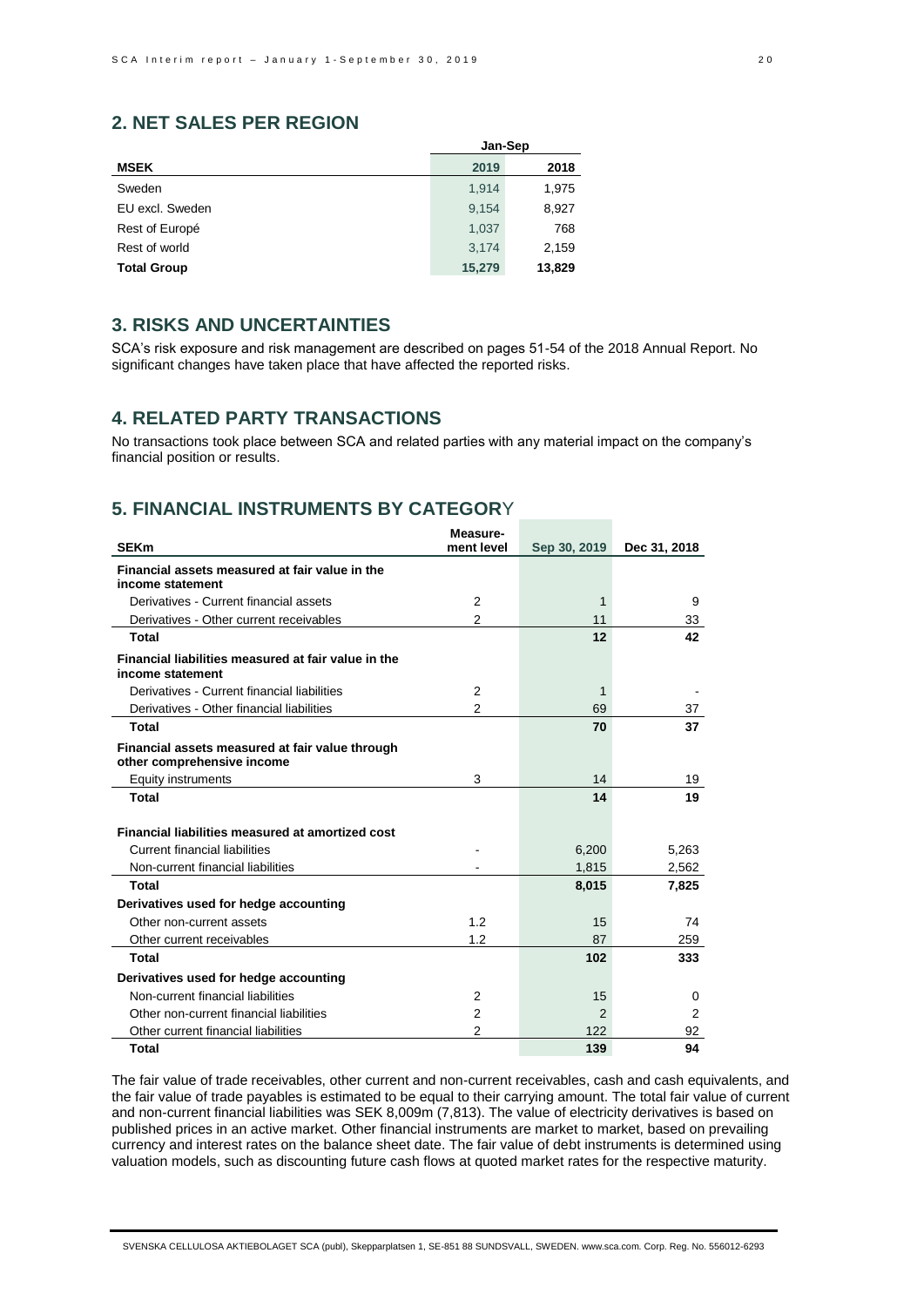# **2. NET SALES PER REGION**

|                    | Jan-Sep |        |
|--------------------|---------|--------|
| <b>MSEK</b>        | 2019    | 2018   |
| Sweden             | 1.914   | 1,975  |
| EU excl. Sweden    | 9,154   | 8,927  |
| Rest of Europé     | 1,037   | 768    |
| Rest of world      | 3,174   | 2,159  |
| <b>Total Group</b> | 15,279  | 13,829 |

# **3. RISKS AND UNCERTAINTIES**

SCA's risk exposure and risk management are described on pages 51-54 of the 2018 Annual Report. No significant changes have taken place that have affected the reported risks.

# **4. RELATED PARTY TRANSACTIONS**

No transactions took place between SCA and related parties with any material impact on the company's financial position or results.

# **5. FINANCIAL INSTRUMENTS BY CATEGOR**Y

|                                                                               | Measure-       |               |              |
|-------------------------------------------------------------------------------|----------------|---------------|--------------|
| <b>SEKm</b>                                                                   | ment level     | Sep 30, 2019  | Dec 31, 2018 |
| Financial assets measured at fair value in the<br>income statement            |                |               |              |
| Derivatives - Current financial assets                                        | 2              | 1             | 9            |
| Derivatives - Other current receivables                                       | $\mathfrak{p}$ | 11            | 33           |
| <b>Total</b>                                                                  |                | 12            | 42           |
| Financial liabilities measured at fair value in the<br>income statement       |                |               |              |
| Derivatives - Current financial liabilities                                   | 2              | 1             |              |
| Derivatives - Other financial liabilities                                     | 2              | 69            | 37           |
| <b>Total</b>                                                                  |                | 70            | 37           |
| Financial assets measured at fair value through<br>other comprehensive income |                |               |              |
| Equity instruments                                                            | 3              | 14            | 19           |
| <b>Total</b>                                                                  |                | 14            | 19           |
| Financial liabilities measured at amortized cost                              |                |               |              |
| <b>Current financial liabilities</b>                                          |                | 6,200         | 5,263        |
| Non-current financial liabilities                                             |                | 1,815         | 2,562        |
| <b>Total</b>                                                                  |                | 8,015         | 7,825        |
| Derivatives used for hedge accounting                                         |                |               |              |
| Other non-current assets                                                      | 1.2            | 15            | 74           |
| Other current receivables                                                     | 1.2            | 87            | 259          |
| <b>Total</b>                                                                  |                | 102           | 333          |
| Derivatives used for hedge accounting                                         |                |               |              |
| Non-current financial liabilities                                             | 2              | 15            | 0            |
| Other non-current financial liabilities                                       | $\overline{2}$ | $\mathcal{P}$ | 2            |
| Other current financial liabilities                                           | 2              | 122           | 92           |
| <b>Total</b>                                                                  |                | 139           | 94           |

The fair value of trade receivables, other current and non-current receivables, cash and cash equivalents, and the fair value of trade payables is estimated to be equal to their carrying amount. The total fair value of current and non-current financial liabilities was SEK 8,009m (7,813). The value of electricity derivatives is based on published prices in an active market. Other financial instruments are market to market, based on prevailing currency and interest rates on the balance sheet date. The fair value of debt instruments is determined using valuation models, such as discounting future cash flows at quoted market rates for the respective maturity.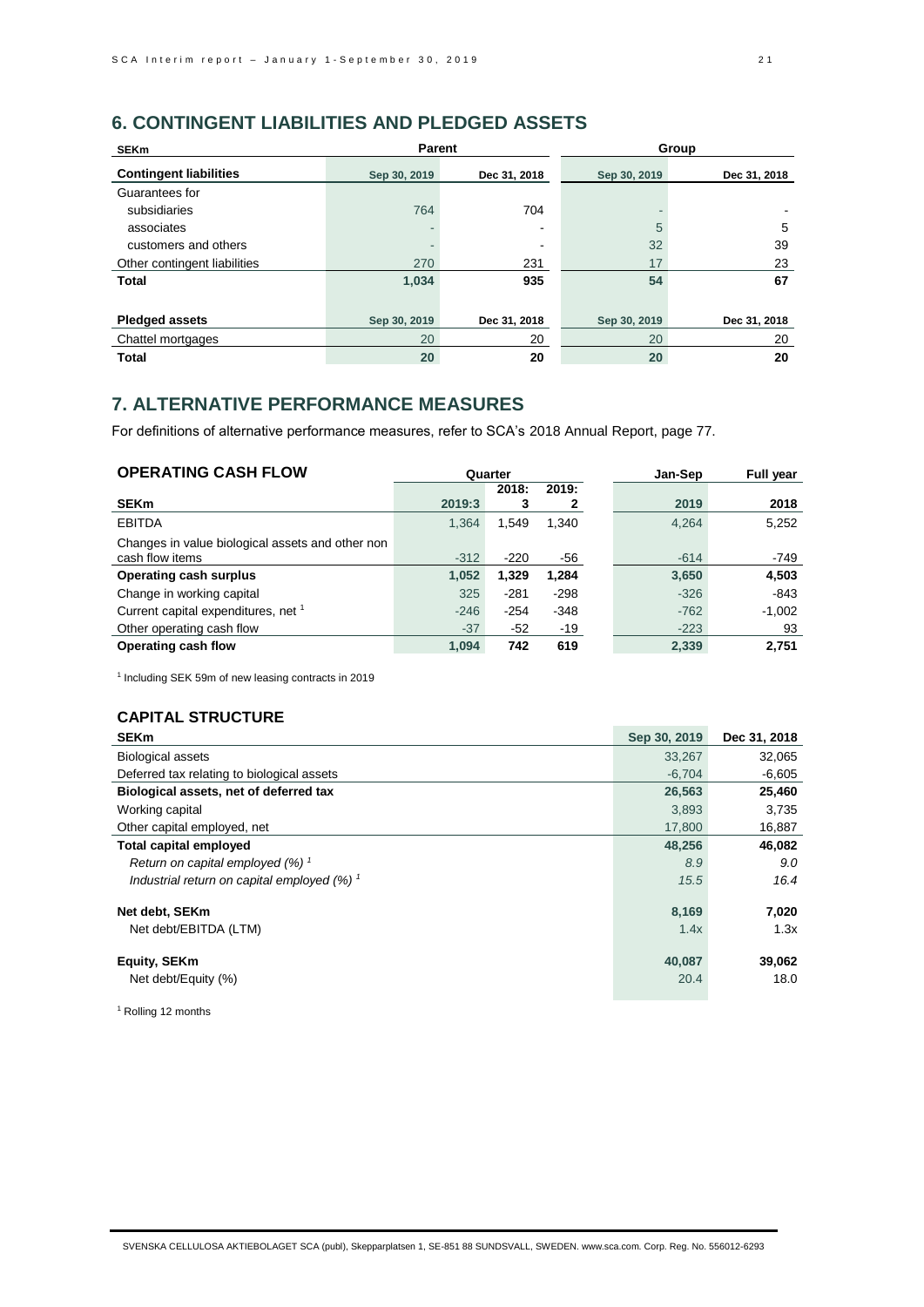# **6. CONTINGENT LIABILITIES AND PLEDGED ASSETS**

| <b>SEKm</b>                   | <b>Parent</b> |              | Group        |              |
|-------------------------------|---------------|--------------|--------------|--------------|
| <b>Contingent liabilities</b> | Sep 30, 2019  | Dec 31, 2018 | Sep 30, 2019 | Dec 31, 2018 |
| Guarantees for                |               |              |              |              |
| subsidiaries                  | 764           | 704          |              |              |
| associates                    |               | -            | 5            | 5            |
| customers and others          |               |              | 32           | 39           |
| Other contingent liabilities  | 270           | 231          | 17           | 23           |
| <b>Total</b>                  | 1,034         | 935          | 54           | 67           |
|                               |               |              |              |              |
| <b>Pledged assets</b>         | Sep 30, 2019  | Dec 31, 2018 | Sep 30, 2019 | Dec 31, 2018 |
| Chattel mortgages             | 20            | 20           | 20           | 20           |
| <b>Total</b>                  | 20            | 20           | 20           | 20           |

# **7. ALTERNATIVE PERFORMANCE MEASURES**

For definitions of alternative performance measures, refer to SCA's 2018 Annual Report, page 77.

| <b>OPERATING CASH FLOW</b>                       | Quarter |        |        | Jan-Sep | <b>Full year</b> |
|--------------------------------------------------|---------|--------|--------|---------|------------------|
|                                                  |         | 2018:  | 2019:  |         |                  |
| <b>SEKm</b>                                      | 2019:3  | З      | 2      | 2019    | 2018             |
| <b>EBITDA</b>                                    | 1,364   | 1,549  | 1,340  | 4,264   | 5,252            |
| Changes in value biological assets and other non |         |        |        |         |                  |
| cash flow items                                  | $-312$  | $-220$ | -56    | $-614$  | $-749$           |
| <b>Operating cash surplus</b>                    | 1,052   | 1,329  | 1,284  | 3,650   | 4,503            |
| Change in working capital                        | 325     | $-281$ | $-298$ | $-326$  | $-843$           |
| Current capital expenditures, net 1              | $-246$  | $-254$ | $-348$ | $-762$  | $-1,002$         |
| Other operating cash flow                        | $-37$   | -52    | -19    | $-223$  | 93               |
| Operating cash flow                              | 1.094   | 742    | 619    | 2,339   | 2.751            |

1 Including SEK 59m of new leasing contracts in 2019

# **CAPITAL STRUCTURE**

| <b>SEKm</b>                                              | Sep 30, 2019 | Dec 31, 2018 |
|----------------------------------------------------------|--------------|--------------|
| <b>Biological assets</b>                                 | 33,267       | 32,065       |
| Deferred tax relating to biological assets               | $-6,704$     | $-6,605$     |
| Biological assets, net of deferred tax                   | 26,563       | 25,460       |
| Working capital                                          | 3.893        | 3,735        |
| Other capital employed, net                              | 17,800       | 16,887       |
| <b>Total capital employed</b>                            | 48,256       | 46,082       |
| Return on capital employed $(%)$ <sup>1</sup>            | 8.9          | 9.0          |
| Industrial return on capital employed $(%)$ <sup>1</sup> | 15.5         | 16.4         |
| Net debt, SEKm                                           | 8,169        | 7,020        |
| Net debt/EBITDA (LTM)                                    | 1.4x         | 1.3x         |
| Equity, SEKm                                             | 40,087       | 39,062       |
| Net debt/Equity (%)                                      | 20.4         | 18.0         |

<sup>1</sup> Rolling 12 months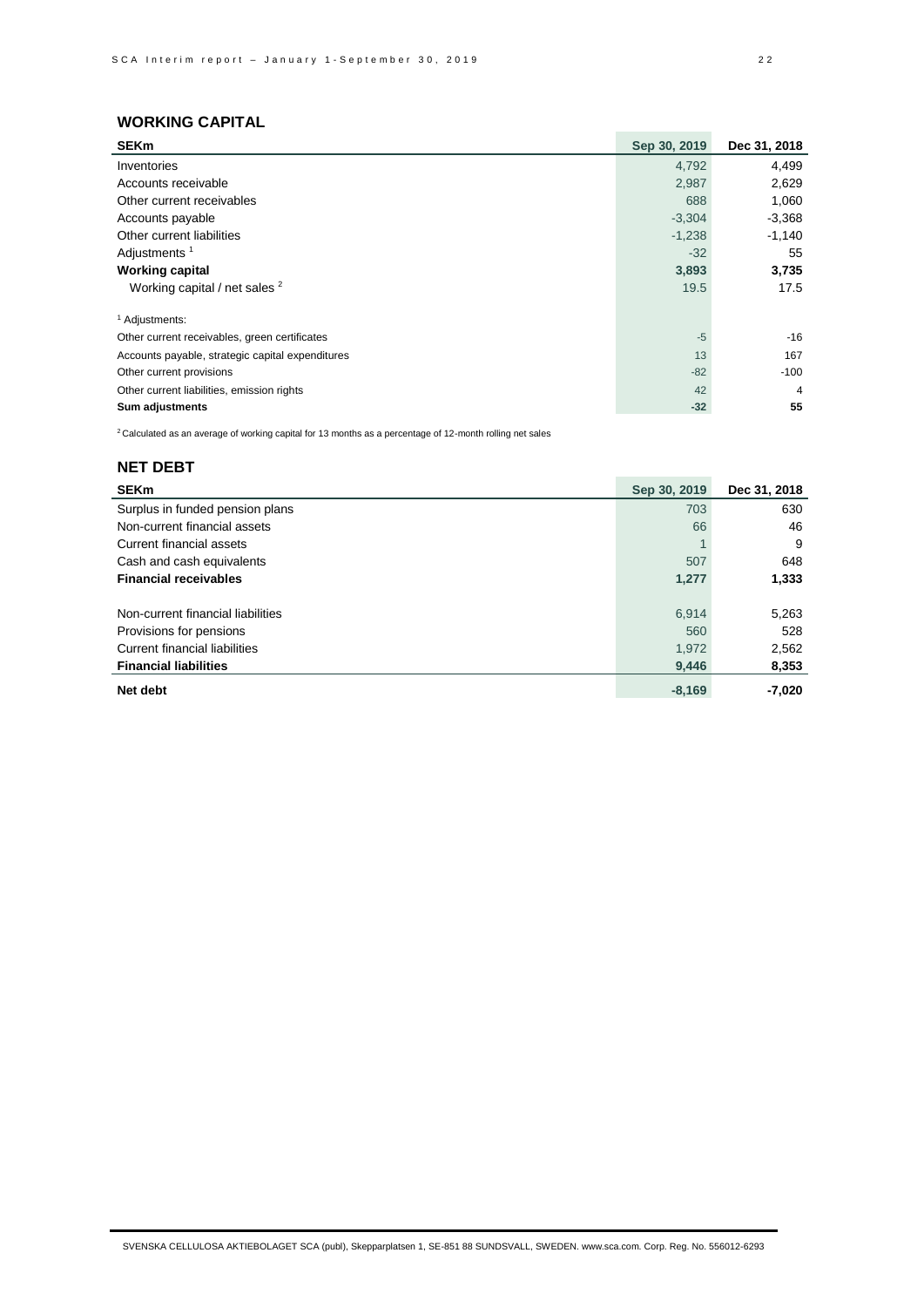## **WORKING CAPITAL**

| <b>SEKm</b>                                      | Sep 30, 2019 | Dec 31, 2018 |
|--------------------------------------------------|--------------|--------------|
| Inventories                                      | 4,792        | 4,499        |
| Accounts receivable                              | 2,987        | 2,629        |
| Other current receivables                        | 688          | 1,060        |
| Accounts payable                                 | $-3,304$     | $-3,368$     |
| Other current liabilities                        | $-1,238$     | $-1,140$     |
| Adjustments <sup>1</sup>                         | $-32$        | 55           |
| <b>Working capital</b>                           | 3,893        | 3,735        |
| Working capital / net sales <sup>2</sup>         | 19.5         | 17.5         |
| <sup>1</sup> Adjustments:                        |              |              |
| Other current receivables, green certificates    | $-5$         | $-16$        |
| Accounts payable, strategic capital expenditures | 13           | 167          |
| Other current provisions                         | $-82$        | $-100$       |
| Other current liabilities, emission rights       | 42           | 4            |
| Sum adjustments                                  | $-32$        | 55           |

 $2$  Calculated as an average of working capital for 13 months as a percentage of 12-month rolling net sales

# **NET DEBT**

| <b>SEKm</b>                       | Sep 30, 2019 | Dec 31, 2018 |
|-----------------------------------|--------------|--------------|
| Surplus in funded pension plans   | 703          | 630          |
| Non-current financial assets      | 66           | 46           |
| Current financial assets          |              | 9            |
| Cash and cash equivalents         | 507          | 648          |
| <b>Financial receivables</b>      | 1,277        | 1,333        |
|                                   |              |              |
| Non-current financial liabilities | 6,914        | 5,263        |
| Provisions for pensions           | 560          | 528          |
| Current financial liabilities     | 1,972        | 2,562        |
| <b>Financial liabilities</b>      | 9,446        | 8,353        |
| Net debt                          | $-8,169$     | $-7,020$     |